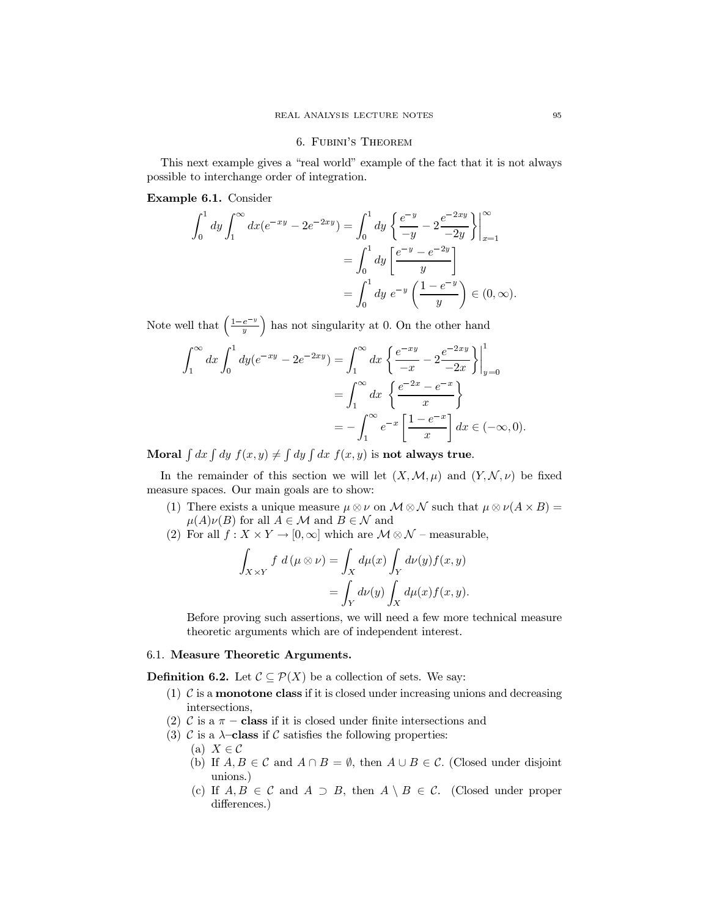## 6. FUBINI'S THEOREM

This next example gives a "real world" example of the fact that it is not always possible to interchange order of integration.

## Example 6.1. Consider

$$
\int_0^1 dy \int_1^\infty dx (e^{-xy} - 2e^{-2xy}) = \int_0^1 dy \left\{ \frac{e^{-y}}{-y} - 2\frac{e^{-2xy}}{-2y} \right\} \Big|_{x=1}^\infty
$$

$$
= \int_0^1 dy \left[ \frac{e^{-y} - e^{-2y}}{y} \right]
$$

$$
= \int_0^1 dy e^{-y} \left( \frac{1 - e^{-y}}{y} \right) \in (0, \infty).
$$

Note well that  $\left(\frac{1-e^{-y}}{y}\right)$  has not singularity at 0. On the other hand

$$
\int_{1}^{\infty} dx \int_{0}^{1} dy (e^{-xy} - 2e^{-2xy}) = \int_{1}^{\infty} dx \left\{ \frac{e^{-xy}}{-x} - 2 \frac{e^{-2xy}}{-2x} \right\} \Big|_{y=0}^{1}
$$

$$
= \int_{1}^{\infty} dx \left\{ \frac{e^{-2x} - e^{-x}}{x} \right\}
$$

$$
= -\int_{1}^{\infty} e^{-x} \left[ \frac{1 - e^{-x}}{x} \right] dx \in (-\infty, 0).
$$

Moral  $\int dx \int dy f(x, y) \neq \int dy \int dx f(x, y)$  is not always true.

In the remainder of this section we will let  $(X, \mathcal{M}, \mu)$  and  $(Y, \mathcal{N}, \nu)$  be fixed measure spaces. Our main goals are to show:

- (1) There exists a unique measure  $\mu \otimes \nu$  on  $\mathcal{M} \otimes \mathcal{N}$  such that  $\mu \otimes \nu(A \times B) =$  $\mu(A)\nu(B)$  for all  $A \in \mathcal{M}$  and  $B \in \mathcal{N}$  and
- (2) For all  $f: X \times Y \to [0, \infty]$  which are  $\mathcal{M} \otimes \mathcal{N}$  measurable,

$$
\int_{X \times Y} f d(\mu \otimes \nu) = \int_X d\mu(x) \int_Y d\nu(y) f(x, y)
$$

$$
= \int_Y d\nu(y) \int_X d\mu(x) f(x, y).
$$

Before proving such assertions, we will need a few more technical measure theoretic arguments which are of independent interest.

## 6.1. Measure Theoretic Arguments.

**Definition 6.2.** Let  $\mathcal{C} \subseteq \mathcal{P}(X)$  be a collection of sets. We say:

- (1)  $\mathcal C$  is a **monotone class** if it is closed under increasing unions and decreasing intersections,
- (2) C is a  $\pi$  class if it is closed under finite intersections and
- (3) C is a  $\lambda$ -class if C satisfies the following properties:
	- (a)  $X \in \mathcal{C}$
	- (b) If  $A, B \in \mathcal{C}$  and  $A \cap B = \emptyset$ , then  $A \cup B \in \mathcal{C}$ . (Closed under disjoint unions.)
	- (c) If  $A, B \in \mathcal{C}$  and  $A \supset B$ , then  $A \setminus B \in \mathcal{C}$ . (Closed under proper differences.)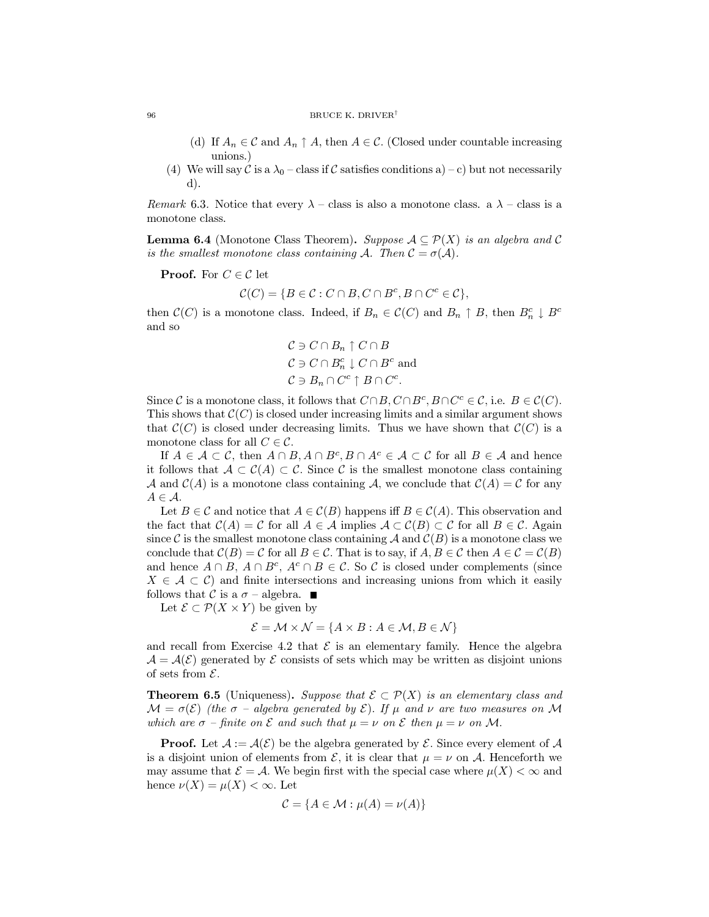- (d) If  $A_n \in \mathcal{C}$  and  $A_n \uparrow A$ , then  $A \in \mathcal{C}$ . (Closed under countable increasing unions.)
- (4) We will say C is a  $\lambda_0$  class if C satisfies conditions a) c) but not necessarily  $(d).$

Remark 6.3. Notice that every  $\lambda$  – class is also a monotone class. a  $\lambda$  – class is a monotone class.

**Lemma 6.4** (Monotone Class Theorem). Suppose  $A \subseteq \mathcal{P}(X)$  is an algebra and C is the smallest monotone class containing A. Then  $\mathcal{C} = \sigma(\mathcal{A})$ .

**Proof.** For  $C \in \mathcal{C}$  let

$$
\mathcal{C}(C) = \{ B \in \mathcal{C} : C \cap B, C \cap B^c, B \cap C^c \in \mathcal{C} \},\
$$

then  $\mathcal{C}(C)$  is a monotone class. Indeed, if  $B_n \in \mathcal{C}(C)$  and  $B_n \uparrow B$ , then  $B_n^c \downarrow B^c$ and so

$$
C \ni C \cap B_n \uparrow C \cap B
$$
  
\n
$$
C \ni C \cap B_n^c \downarrow C \cap B^c
$$
 and  
\n
$$
C \ni B_n \cap C^c \uparrow B \cap C^c.
$$

Since C is a monotone class, it follows that  $C \cap B$ ,  $C \cap B^c$ ,  $B \cap C^c \in \mathcal{C}$ , i.e.  $B \in \mathcal{C}(C)$ . This shows that  $\mathcal{C}(C)$  is closed under increasing limits and a similar argument shows that  $\mathcal{C}(C)$  is closed under decreasing limits. Thus we have shown that  $\mathcal{C}(C)$  is a monotone class for all  $C \in \mathcal{C}$ .

If  $A \in \mathcal{A} \subset \mathcal{C}$ , then  $A \cap B$ ,  $A \cap B^c$ ,  $B \cap A^c \in \mathcal{A} \subset \mathcal{C}$  for all  $B \in \mathcal{A}$  and hence it follows that  $A \subset C(A) \subset C$ . Since C is the smallest monotone class containing A and  $\mathcal{C}(A)$  is a monotone class containing A, we conclude that  $\mathcal{C}(A) = \mathcal{C}$  for any  $A \in \mathcal{A}$ .

Let  $B \in \mathcal{C}$  and notice that  $A \in \mathcal{C}(B)$  happens iff  $B \in \mathcal{C}(A)$ . This observation and the fact that  $\mathcal{C}(A) = \mathcal{C}$  for all  $A \in \mathcal{A}$  implies  $\mathcal{A} \subset \mathcal{C}(B) \subset \mathcal{C}$  for all  $B \in \mathcal{C}$ . Again since C is the smallest monotone class containing A and  $\mathcal{C}(B)$  is a monotone class we conclude that  $\mathcal{C}(B) = \mathcal{C}$  for all  $B \in \mathcal{C}$ . That is to say, if  $A, B \in \mathcal{C}$  then  $A \in \mathcal{C} = \mathcal{C}(B)$ and hence  $A \cap B$ ,  $A \cap B^c$ ,  $A^c \cap B \in \mathcal{C}$ . So  $\mathcal{C}$  is closed under complements (since  $X \in \mathcal{A} \subset \mathcal{C}$  and finite intersections and increasing unions from which it easily follows that C is a  $\sigma$  - algebra.  $\blacksquare$ 

Let  $\mathcal{E} \subset \mathcal{P}(X \times Y)$  be given by

$$
\mathcal{E} = \mathcal{M} \times \mathcal{N} = \{ A \times B : A \in \mathcal{M}, B \in \mathcal{N} \}
$$

and recall from Exercise 4.2 that  $\mathcal E$  is an elementary family. Hence the algebra  $\mathcal{A} = \mathcal{A}(\mathcal{E})$  generated by  $\mathcal E$  consists of sets which may be written as disjoint unions of sets from  $\mathcal{E}$ .

**Theorem 6.5** (Uniqueness). Suppose that  $\mathcal{E} \subset \mathcal{P}(X)$  is an elementary class and  $\mathcal{M} = \sigma(\mathcal{E})$  (the  $\sigma$  - algebra generated by  $\mathcal{E}$ ). If  $\mu$  and  $\nu$  are two measures on M which are  $\sigma$  - finite on  $\mathcal E$  and such that  $\mu = \nu$  on  $\mathcal E$  then  $\mu = \nu$  on  $\mathcal M$ .

**Proof.** Let  $A := \mathcal{A}(\mathcal{E})$  be the algebra generated by  $\mathcal{E}$ . Since every element of  $\mathcal{A}$ is a disjoint union of elements from  $\mathcal{E}$ , it is clear that  $\mu = \nu$  on A. Henceforth we may assume that  $\mathcal{E} = \mathcal{A}$ . We begin first with the special case where  $\mu(X) < \infty$  and hence  $\nu(X) = \mu(X) < \infty$ . Let

$$
\mathcal{C} = \{A \in \mathcal{M} : \mu(A) = \nu(A)\}
$$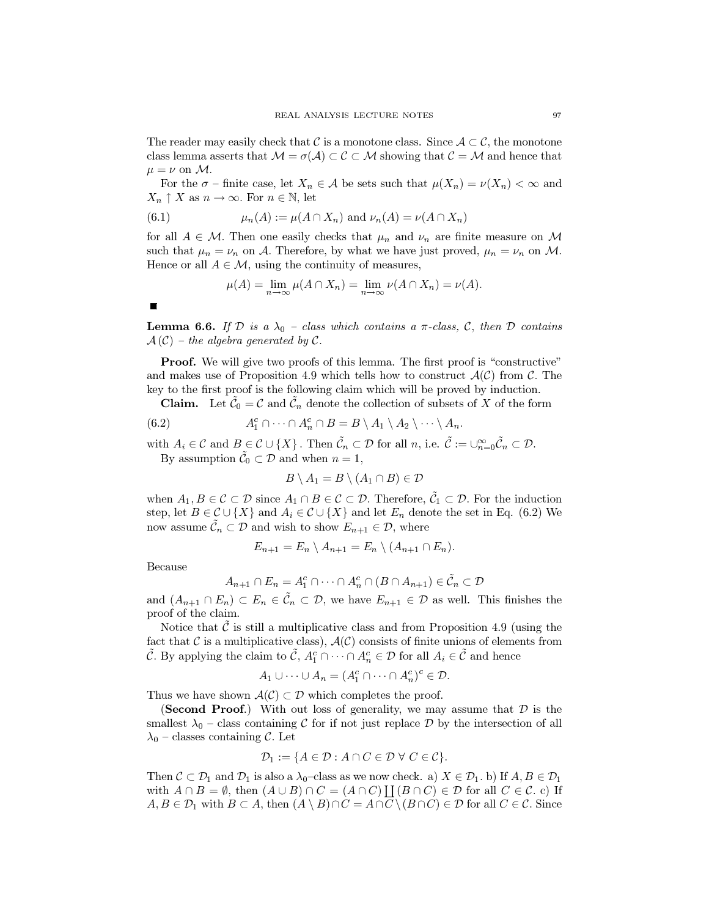The reader may easily check that C is a monotone class. Since  $A \subset \mathcal{C}$ , the monotone class lemma asserts that  $\mathcal{M} = \sigma(\mathcal{A}) \subset \mathcal{C} \subset \mathcal{M}$  showing that  $\mathcal{C} = \mathcal{M}$  and hence that  $\mu = \nu$  on M.

For the  $\sigma$  - finite case, let  $X_n \in \mathcal{A}$  be sets such that  $\mu(X_n) = \nu(X_n) < \infty$  and  $X_n \uparrow X$  as  $n \to \infty$ . For  $n \in \mathbb{N}$ , let

(6.1) 
$$
\mu_n(A) := \mu(A \cap X_n) \text{ and } \nu_n(A) = \nu(A \cap X_n)
$$

for all  $A \in \mathcal{M}$ . Then one easily checks that  $\mu_n$  and  $\nu_n$  are finite measure on M such that  $\mu_n = \nu_n$  on A. Therefore, by what we have just proved,  $\mu_n = \nu_n$  on M. Hence or all  $A \in \mathcal{M}$ , using the continuity of measures,

$$
\mu(A) = \lim_{n \to \infty} \mu(A \cap X_n) = \lim_{n \to \infty} \nu(A \cap X_n) = \nu(A).
$$

**Lemma 6.6.** If D is a  $\lambda_0$  – class which contains a  $\pi$ -class, C, then D contains  $\mathcal{A}(\mathcal{C})$  – the algebra generated by  $\mathcal{C}$ .

**Proof.** We will give two proofs of this lemma. The first proof is "constructive" and makes use of Proposition 4.9 which tells how to construct  $\mathcal{A}(\mathcal{C})$  from  $\mathcal{C}$ . The key to the first proof is the following claim which will be proved by induction.

**Claim.** Let  $\tilde{C}_0 = C$  and  $\tilde{C}_n$  denote the collection of subsets of X of the form

(6.2) 
$$
A_1^c \cap \cdots \cap A_n^c \cap B = B \setminus A_1 \setminus A_2 \setminus \cdots \setminus A_n.
$$

with  $A_i \in \mathcal{C}$  and  $B \in \mathcal{C} \cup \{X\}$ . Then  $\tilde{\mathcal{C}}_n \subset \mathcal{D}$  for all  $n$ , i.e.  $\tilde{\mathcal{C}} := \bigcup_{n=0}^{\infty} \tilde{\mathcal{C}}_n \subset \mathcal{D}$ . By assumption  $\tilde{\mathcal{C}}_0 \subset \mathcal{D}$  and when  $n = 1$ ,

$$
B \setminus A_1 = B \setminus (A_1 \cap B) \in \mathcal{D}
$$

when  $A_1, B \in \mathcal{C} \subset \mathcal{D}$  since  $A_1 \cap B \in \mathcal{C} \subset \mathcal{D}$ . Therefore,  $\tilde{C}_1 \subset \mathcal{D}$ . For the induction step, let  $B \in \mathcal{C} \cup \{X\}$  and  $A_i \in \mathcal{C} \cup \{X\}$  and let  $E_n$  denote the set in Eq. (6.2) We now assume  $\mathcal{C}_n \subset \mathcal{D}$  and wish to show  $E_{n+1} \in \mathcal{D}$ , where

$$
E_{n+1} = E_n \setminus A_{n+1} = E_n \setminus (A_{n+1} \cap E_n).
$$

Because

$$
A_{n+1} \cap E_n = A_1^c \cap \dots \cap A_n^c \cap (B \cap A_{n+1}) \in \tilde{\mathcal{C}}_n \subset \mathcal{D}
$$

and  $(A_{n+1} \cap E_n) \subset E_n \in \tilde{\mathcal{C}}_n \subset \mathcal{D}$ , we have  $E_{n+1} \in \mathcal{D}$  as well. This finishes the proof of the claim.

Notice that  $\tilde{\mathcal{C}}$  is still a multiplicative class and from Proposition 4.9 (using the fact that C is a multiplicative class),  $\mathcal{A}(\mathcal{C})$  consists of finite unions of elements from  $\tilde{\mathcal{C}}$ . By applying the claim to  $\tilde{\mathcal{C}}$ ,  $A_1^c \cap \cdots \cap A_n^c \in \mathcal{D}$  for all  $A_i \in \tilde{\mathcal{C}}$  and hence

$$
A_1 \cup \cdots \cup A_n = (A_1^c \cap \cdots \cap A_n^c)^c \in \mathcal{D}.
$$

Thus we have shown  $\mathcal{A}(\mathcal{C}) \subset \mathcal{D}$  which completes the proof.

(Second Proof.) With out loss of generality, we may assume that  $\mathcal D$  is the smallest  $\lambda_0$  – class containing C for if not just replace D by the intersection of all  $\lambda_0$  – classes containing C. Let

$$
\mathcal{D}_1 := \{ A \in \mathcal{D} : A \cap C \in \mathcal{D} \,\,\forall \,\, C \in \mathcal{C} \}.
$$

Then  $C \subset \mathcal{D}_1$  and  $\mathcal{D}_1$  is also a  $\lambda_0$ -class as we now check. a)  $X \in \mathcal{D}_1$ . b) If  $A, B \in \mathcal{D}_1$ with  $A \cap B = \emptyset$ , then  $(A \cup B) \cap C = (A \cap C)$   $\bigcup (B \cap C) \in \mathcal{D}$  for all  $C \in \mathcal{C}$ . c) If  $A, B \in \mathcal{D}_1$  with  $B \subset A$ , then  $(A \setminus B) \cap C = A \cap C \setminus (B \cap C) \in \mathcal{D}$  for all  $C \in \mathcal{C}$ . Since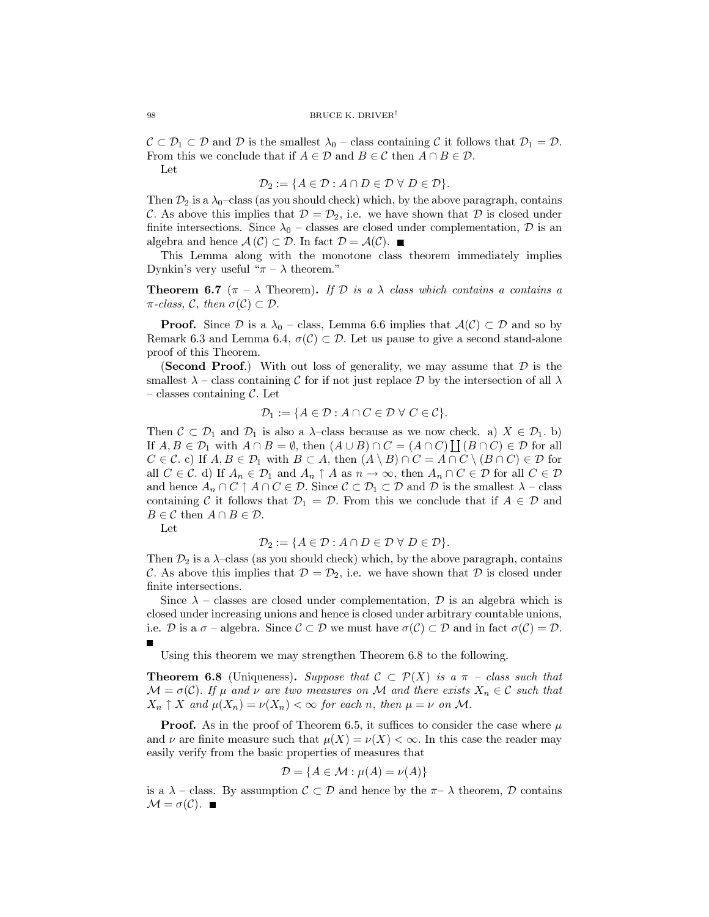$\mathcal{C} \subset \mathcal{D}_1 \subset \mathcal{D}$  and  $\mathcal{D}$  is the smallest  $\lambda_0$  – class containing C it follows that  $\mathcal{D}_1 = \mathcal{D}$ . From this we conclude that if  $A \in \mathcal{D}$  and  $B \in \mathcal{C}$  then  $A \cap B \in \mathcal{D}$ .

Let

$$
\mathcal{D}_2 := \{ A \in \mathcal{D} : A \cap D \in \mathcal{D} \ \forall \ D \in \mathcal{D} \}.
$$

Then  $\mathcal{D}_2$  is a  $\lambda_0$ -class (as you should check) which, by the above paragraph, contains C. As above this implies that  $\mathcal{D} = \mathcal{D}_2$ , i.e. we have shown that  $\mathcal D$  is closed under finite intersections. Since  $\lambda_0$  – classes are closed under complementation,  $\mathcal D$  is an algebra and hence  $\mathcal{A}(\mathcal{C}) \subset \mathcal{D}$ . In fact  $\mathcal{D} = \mathcal{A}(\mathcal{C})$ .

This Lemma along with the monotone class theorem immediately implies Dynkin's very useful " $\pi - \lambda$  theorem."

**Theorem 6.7** ( $\pi - \lambda$  Theorem). If D is a  $\lambda$  class which contains a contains a  $\pi$ -class, C, then  $\sigma(C) \subset \mathcal{D}$ .

**Proof.** Since  $\mathcal{D}$  is a  $\lambda_0$  – class, Lemma 6.6 implies that  $\mathcal{A}(\mathcal{C}) \subset \mathcal{D}$  and so by Remark 6.3 and Lemma 6.4,  $\sigma(C) \subset \mathcal{D}$ . Let us pause to give a second stand-alone proof of this Theorem.

**(Second Proof.)** With out loss of generality, we may assume that  $\mathcal{D}$  is the smallest  $\lambda$  – class containing C for if not just replace D by the intersection of all  $\lambda$ - classes containing  $\mathcal{C}$ . Let

$$
\mathcal{D}_1 := \{ A \in \mathcal{D} : A \cap C \in \mathcal{D} \ \forall \ C \in \mathcal{C} \}.
$$

Then  $C \subset \mathcal{D}_1$  and  $\mathcal{D}_1$  is also a  $\lambda$ -class because as we now check. a)  $X \in \mathcal{D}_1$ . b) If  $A, B \in \mathcal{D}_1$  with  $A \cap B = \emptyset$ , then  $(A \cup B) \cap C = (A \cap C)$   $\bigcup (B \cap C) \in \mathcal{D}$  for all  $C \in \mathcal{C}$ . c) If  $A, B \in \mathcal{D}_1$  with  $B \subset A$ , then  $(A \setminus B) \cap C = A \cap C \setminus (B \cap C) \in \mathcal{D}$  for all  $C \in \mathcal{C}$ . d) If  $A_n \in \mathcal{D}_1$  and  $A_n \uparrow A$  as  $n \to \infty$ , then  $A_n \cap C \in \mathcal{D}$  for all  $C \in \mathcal{D}$ and hence  $A_n \cap C \uparrow A \cap C \in \mathcal{D}$ . Since  $C \subset \mathcal{D}_1 \subset \mathcal{D}$  and  $\mathcal{D}$  is the smallest  $\lambda$  - class containing C it follows that  $\mathcal{D}_1 = \mathcal{D}$ . From this we conclude that if  $A \in \mathcal{D}$  and  $B \in \mathcal{C}$  then  $A \cap B \in \mathcal{D}$ .

Let

$$
\mathcal{D}_2 := \{ A \in \mathcal{D} : A \cap D \in \mathcal{D} \ \forall \ D \in \mathcal{D} \}.
$$

Then  $\mathcal{D}_2$  is a  $\lambda$ -class (as you should check) which, by the above paragraph, contains C. As above this implies that  $\mathcal{D} = \mathcal{D}_2$ , i.e. we have shown that  $\mathcal D$  is closed under finite intersections.

Since  $\lambda$  – classes are closed under complementation, D is an algebra which is closed under increasing unions and hence is closed under arbitrary countable unions, i.e. D is a  $\sigma$  - algebra. Since  $\mathcal{C} \subset \mathcal{D}$  we must have  $\sigma(\mathcal{C}) \subset \mathcal{D}$  and in fact  $\sigma(\mathcal{C}) = \mathcal{D}$ .  $\blacksquare$ 

Using this theorem we may strengthen Theorem 6.8 to the following.

**Theorem 6.8** (Uniqueness). Suppose that  $C \subset \mathcal{P}(X)$  is a  $\pi$  - class such that  $\mathcal{M} = \sigma(\mathcal{C})$ . If  $\mu$  and  $\nu$  are two measures on M and there exists  $X_n \in \mathcal{C}$  such that  $X_n \uparrow X$  and  $\mu(X_n) = \nu(X_n) < \infty$  for each n, then  $\mu = \nu$  on M.

**Proof.** As in the proof of Theorem 6.5, it suffices to consider the case where  $\mu$ and  $\nu$  are finite measure such that  $\mu(X) = \nu(X) < \infty$ . In this case the reader may easily verify from the basic properties of measures that

$$
\mathcal{D} = \{ A \in \mathcal{M} : \mu(A) = \nu(A) \}
$$

is a  $\lambda$  – class. By assumption  $C \subset \mathcal{D}$  and hence by the  $\pi-\lambda$  theorem,  $\mathcal D$  contains  $\mathcal{M} = \sigma(\mathcal{C})$ .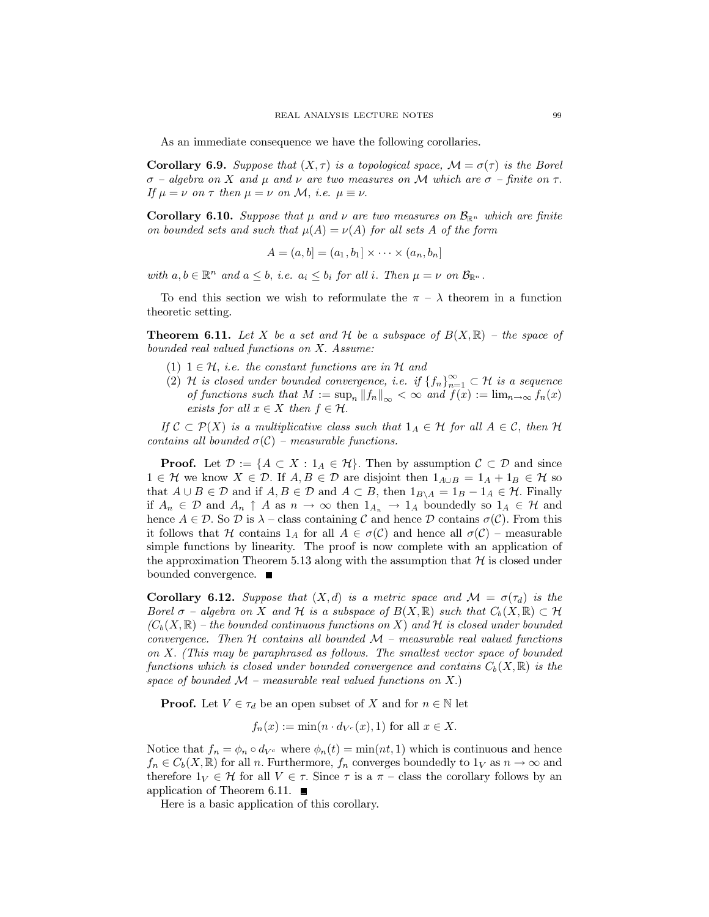As an immediate consequence we have the following corollaries.

**Corollary 6.9.** Suppose that  $(X, \tau)$  is a topological space,  $\mathcal{M} = \sigma(\tau)$  is the Borel  $\sigma$  – algebra on X and  $\mu$  and  $\nu$  are two measures on M which are  $\sigma$  – finite on  $\tau$ . If  $\mu = \nu$  on  $\tau$  then  $\mu = \nu$  on M, i.e.  $\mu \equiv \nu$ .

**Corollary 6.10.** Suppose that  $\mu$  and  $\nu$  are two measures on  $\mathcal{B}_{\mathbb{R}^n}$  which are finite on bounded sets and such that  $\mu(A) = \nu(A)$  for all sets A of the form

$$
A = (a, b] = (a_1, b_1] \times \cdots \times (a_n, b_n]
$$

with  $a, b \in \mathbb{R}^n$  and  $a \leq b$ , i.e.  $a_i \leq b_i$  for all i. Then  $\mu = \nu$  on  $\mathcal{B}_{\mathbb{R}^n}$ .

To end this section we wish to reformulate the  $\pi - \lambda$  theorem in a function theoretic setting.

**Theorem 6.11.** Let X be a set and H be a subspace of  $B(X,\mathbb{R})$  – the space of bounded real valued functions on X. Assume:

- (1)  $1 \in \mathcal{H}$ , *i.e.* the constant functions are in  $\mathcal{H}$  and
- (2) H is closed under bounded convergence, i.e. if  ${f_n}_{n=1}^{\infty} \subset \mathcal{H}$  is a sequence of functions such that  $M := \sup_n ||f_n||_{\infty} < \infty$  and  $f(x) := \lim_{n \to \infty} f_n(x)$ exists for all  $x \in X$  then  $f \in \mathcal{H}$ .

If  $\mathcal{C} \subset \mathcal{P}(X)$  is a multiplicative class such that  $1_A \in \mathcal{H}$  for all  $A \in \mathcal{C}$ , then  $\mathcal{H}$ contains all bounded  $\sigma(\mathcal{C})$  – measurable functions.

**Proof.** Let  $\mathcal{D} := \{A \subset X : 1_A \in \mathcal{H}\}\$ . Then by assumption  $\mathcal{C} \subset \mathcal{D}$  and since  $1 \in \mathcal{H}$  we know  $X \in \mathcal{D}$ . If  $A, B \in \mathcal{D}$  are disjoint then  $1_{A \cup B} = 1_A + 1_B \in \mathcal{H}$  so that  $A \cup B \in \mathcal{D}$  and if  $A, B \in \mathcal{D}$  and  $A \subset B$ , then  $1_{B \setminus A} = 1_B - 1_A \in \mathcal{H}$ . Finally if  $A_n \in \mathcal{D}$  and  $A_n \uparrow A$  as  $n \to \infty$  then  $1_{A_n} \to 1_A$  boundedly so  $1_A \in \mathcal{H}$  and hence  $A \in \mathcal{D}$ . So  $\mathcal{D}$  is  $\lambda$  – class containing  $\mathcal C$  and hence  $\mathcal D$  contains  $\sigma(\mathcal C)$ . From this it follows that H contains  $1_A$  for all  $A \in \sigma(\mathcal{C})$  and hence all  $\sigma(\mathcal{C})$  – measurable simple functions by linearity. The proof is now complete with an application of the approximation Theorem 5.13 along with the assumption that  $H$  is closed under bounded convergence.  $\blacksquare$ 

**Corollary 6.12.** Suppose that  $(X,d)$  is a metric space and  $\mathcal{M} = \sigma(\tau_d)$  is the Borel  $\sigma$  – algebra on X and H is a subspace of  $B(X,\mathbb{R})$  such that  $C_b(X,\mathbb{R}) \subset \mathcal{H}$  $(C_b(X,\mathbb{R})$  – the bounded continuous functions on X) and H is closed under bounded convergence. Then H contains all bounded  $\mathcal{M}$  – measurable real valued functions on X. (This may be paraphrased as follows. The smallest vector space of bounded functions which is closed under bounded convergence and contains  $C_b(X,\mathbb{R})$  is the space of bounded  $M$  – measurable real valued functions on X.)

**Proof.** Let  $V \in \tau_d$  be an open subset of X and for  $n \in \mathbb{N}$  let

$$
f_n(x) := \min(n \cdot d_{V^c}(x), 1)
$$
 for all  $x \in X$ .

Notice that  $f_n = \phi_n \circ d_{V^c}$  where  $\phi_n(t) = \min(nt, 1)$  which is continuous and hence  $f_n \in C_b(X, \mathbb{R})$  for all n. Furthermore,  $f_n$  converges boundedly to  $1_V$  as  $n \to \infty$  and therefore  $1_V \in \mathcal{H}$  for all  $V \in \tau$ . Since  $\tau$  is a  $\pi$  – class the corollary follows by an application of Theorem 6.11.  $\blacksquare$ 

Here is a basic application of this corollary.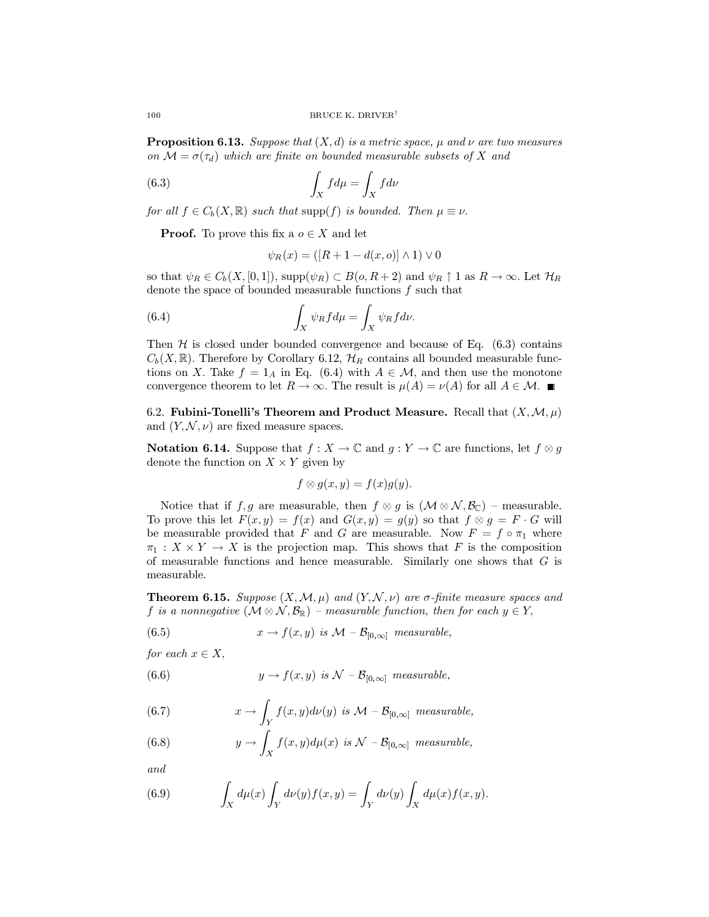**Proposition 6.13.** Suppose that  $(X, d)$  is a metric space,  $\mu$  and  $\nu$  are two measures on  $\mathcal{M} = \sigma(\tau_d)$  which are finite on bounded measurable subsets of X and

(6.3) 
$$
\int_X f d\mu = \int_X f d\nu
$$

for all  $f \in C_b(X, \mathbb{R})$  such that supp(f) is bounded. Then  $\mu \equiv \nu$ .

**Proof.** To prove this fix a  $o \in X$  and let

$$
\psi_R(x) = ( [R+1-d(x,o)] \wedge 1) \vee 0
$$

so that  $\psi_R \in C_b(X, [0, 1])$ , supp $(\psi_R) \subset B(o, R+2)$  and  $\psi_R \uparrow 1$  as  $R \to \infty$ . Let  $\mathcal{H}_R$ denote the space of bounded measurable functions f such that

(6.4) 
$$
\int_X \psi_R f d\mu = \int_X \psi_R f d\nu.
$$

Then  $H$  is closed under bounded convergence and because of Eq.  $(6.3)$  contains  $C_b(X,\mathbb{R})$ . Therefore by Corollary 6.12,  $\mathcal{H}_R$  contains all bounded measurable functions on X. Take  $f = 1_A$  in Eq. (6.4) with  $A \in \mathcal{M}$ , and then use the monotone convergence theorem to let  $R \to \infty$ . The result is  $\mu(A) = \nu(A)$  for all  $A \in \mathcal{M}$ .

6.2. Fubini-Tonelli's Theorem and Product Measure. Recall that  $(X, \mathcal{M}, \mu)$ and  $(Y, \mathcal{N}, \nu)$  are fixed measure spaces.

**Notation 6.14.** Suppose that  $f: X \to \mathbb{C}$  and  $g: Y \to \mathbb{C}$  are functions, let  $f \otimes g$ denote the function on  $X \times Y$  given by

$$
f \otimes g(x, y) = f(x)g(y).
$$

Notice that if f, g are measurable, then  $f \otimes g$  is  $(\mathcal{M} \otimes \mathcal{N}, \mathcal{B}_{\mathbb{C}})$  – measurable. To prove this let  $F(x,y) = f(x)$  and  $G(x,y) = g(y)$  so that  $f \otimes g = F \cdot G$  will be measurable provided that F and G are measurable. Now  $F = f \circ \pi_1$  where  $\pi_1: X \times Y \to X$  is the projection map. This shows that F is the composition of measurable functions and hence measurable. Similarly one shows that  $G$  is measurable.

**Theorem 6.15.** Suppose  $(X, \mathcal{M}, \mu)$  and  $(Y, \mathcal{N}, \nu)$  are  $\sigma$ -finite measure spaces and f is a nonnegative  $(M \otimes N, \mathcal{B}_{\mathbb{R}})$  – measurable function, then for each  $y \in Y$ ,

(6.5) 
$$
x \to f(x, y) \text{ is } \mathcal{M} - \mathcal{B}_{[0,\infty]} \text{ measurable},
$$

for each  $x \in X$ ,

(6.6) 
$$
y \to f(x, y) \text{ is } \mathcal{N} - \mathcal{B}_{[0,\infty]} \text{ measurable},
$$

(6.7) 
$$
x \to \int_Y f(x, y) d\nu(y) \text{ is } \mathcal{M} - \mathcal{B}_{[0,\infty]} \text{ measurable},
$$

(6.8) 
$$
y \to \int_X f(x, y) d\mu(x) \text{ is } \mathcal{N} - \mathcal{B}_{[0,\infty]} \text{ measurable,}
$$

and

(6.9) 
$$
\int_X d\mu(x) \int_Y d\nu(y) f(x, y) = \int_Y d\nu(y) \int_X d\mu(x) f(x, y).
$$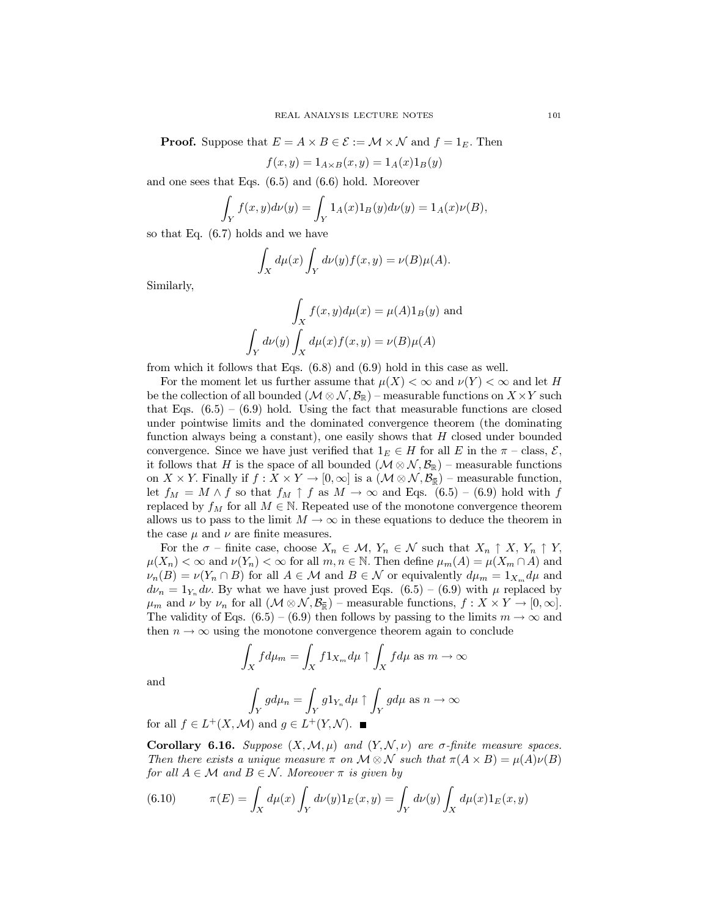**Proof.** Suppose that  $E = A \times B \in \mathcal{E} := \mathcal{M} \times \mathcal{N}$  and  $f = 1_E$ . Then

$$
f(x, y) = 1_{A \times B}(x, y) = 1_A(x)1_B(y)
$$

and one sees that Eqs.  $(6.5)$  and  $(6.6)$  hold. Moreover

$$
\int_{Y} f(x, y) d\nu(y) = \int_{Y} 1_{A}(x) 1_{B}(y) d\nu(y) = 1_{A}(x) \nu(B),
$$

so that Eq.  $(6.7)$  holds and we have

 $\cdot$ 

$$
\int_X d\mu(x) \int_Y d\nu(y) f(x, y) = \nu(B)\mu(A).
$$

Similarly,

$$
\int_X f(x, y)d\mu(x) = \mu(A)1_B(y)
$$
 and  

$$
\int_Y d\nu(y) \int_X d\mu(x) f(x, y) = \nu(B)\mu(A)
$$

from which it follows that Eqs.  $(6.8)$  and  $(6.9)$  hold in this case as well.

For the moment let us further assume that  $\mu(X) < \infty$  and  $\nu(Y) < \infty$  and let H be the collection of all bounded  $(\mathcal{M} \otimes \mathcal{N}, \mathcal{B}_{\mathbb{R}})$  – measurable functions on  $X \times Y$  such that Eqs.  $(6.5) - (6.9)$  hold. Using the fact that measurable functions are closed under pointwise limits and the dominated convergence theorem (the dominating function always being a constant), one easily shows that  $H$  closed under bounded convergence. Since we have just verified that  $1_F \in H$  for all E in the  $\pi$  – class,  $\mathcal{E}$ , it follows that H is the space of all bounded  $(\mathcal{M} \otimes \mathcal{N}, \mathcal{B}_{\mathbb{R}})$  – measurable functions on X × Y. Finally if  $f: X \times Y \to [0, \infty]$  is a  $(\mathcal{M} \otimes \mathcal{N}, \mathcal{B}_{\overline{\mathbb{R}}})$  – measurable function, let  $f_M = M \wedge f$  so that  $f_M \uparrow f$  as  $M \to \infty$  and Eqs. (6.5) – (6.9) hold with f replaced by  $f_M$  for all  $M \in \mathbb{N}$ . Repeated use of the monotone convergence theorem allows us to pass to the limit  $M \to \infty$  in these equations to deduce the theorem in the case  $\mu$  and  $\nu$  are finite measures.

For the  $\sigma$  – finite case, choose  $X_n \in \mathcal{M}$ ,  $Y_n \in \mathcal{N}$  such that  $X_n \uparrow X$ ,  $Y_n \uparrow Y$ ,  $\mu(X_n) < \infty$  and  $\nu(Y_n) < \infty$  for all  $m, n \in \mathbb{N}$ . Then define  $\mu_m(A) = \mu(X_m \cap A)$  and  $\nu_n(B) = \nu(Y_n \cap B)$  for all  $A \in \mathcal{M}$  and  $B \in \mathcal{N}$  or equivalently  $d\mu_m = 1_{X_m} d\mu$  and  $d\nu_n = 1_{Y_n} d\nu$ . By what we have just proved Eqs.  $(6.5) - (6.9)$  with  $\mu$  replaced by  $\mu_m$  and  $\nu$  by  $\nu_n$  for all  $(\mathcal{M} \otimes \mathcal{N}, \mathcal{B}_{\mathbb{R}})$  – measurable functions,  $f: X \times Y \to [0, \infty]$ . The validity of Eqs. (6.5) – (6.9) then follows by passing to the limits  $m \to \infty$  and then  $n \to \infty$  using the monotone convergence theorem again to conclude

$$
\int_X f d\mu_m = \int_X f 1_{X_m} d\mu \uparrow \int_X f d\mu \text{ as } m \to \infty
$$

and

$$
\int_{Y} g d\mu_{n} = \int_{Y} g 1_{Y_{n}} d\mu \uparrow \int_{Y} g d\mu \text{ as } n \to \infty
$$
  
M) and  $g \in L^{+}(Y, \mathcal{N})$ 

for all  $f \in L^+(X, \mathcal{M})$  and  $g \in L^+(Y, \mathcal{N})$ .

**Corollary 6.16.** Suppose  $(X, \mathcal{M}, \mu)$  and  $(Y, \mathcal{N}, \nu)$  are  $\sigma$ -finite measure spaces. Then there exists a unique measure  $\pi$  on  $\mathcal{M} \otimes \mathcal{N}$  such that  $\pi(A \times B) = \mu(A)\nu(B)$ for all  $A \in \mathcal{M}$  and  $B \in \mathcal{N}$ . Moreover  $\pi$  is given by

(6.10) 
$$
\pi(E) = \int_X d\mu(x) \int_Y d\nu(y) 1_E(x, y) = \int_Y d\nu(y) \int_X d\mu(x) 1_E(x, y)
$$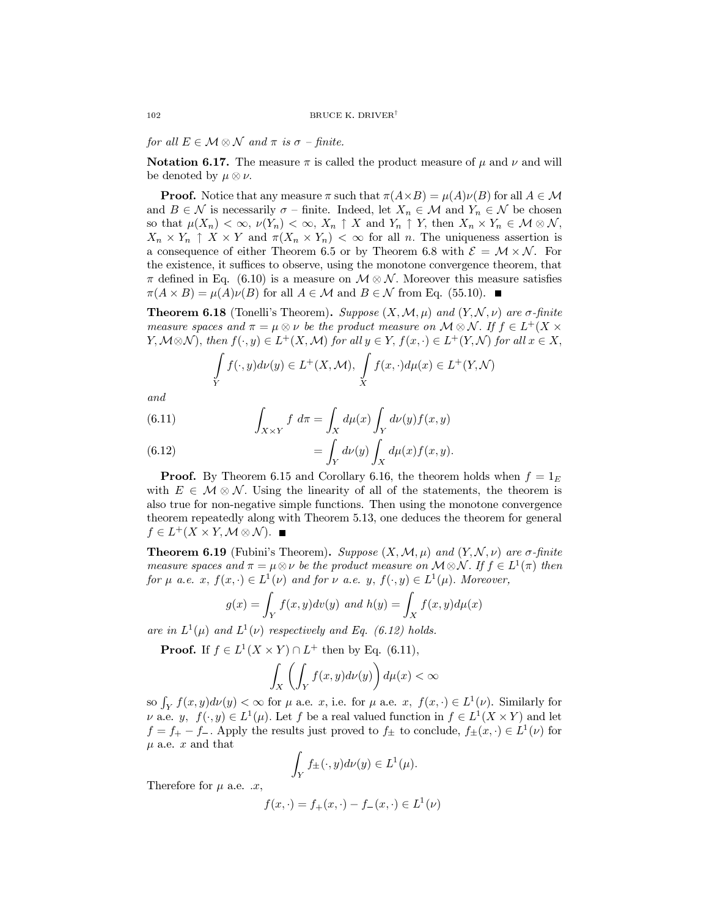for all  $E \in \mathcal{M} \otimes \mathcal{N}$  and  $\pi$  is  $\sigma$  - finite.

**Notation 6.17.** The measure  $\pi$  is called the product measure of  $\mu$  and  $\nu$  and will be denoted by  $\mu \otimes \nu$ .

**Proof.** Notice that any measure  $\pi$  such that  $\pi(A \times B) = \mu(A)\nu(B)$  for all  $A \in \mathcal{M}$ and  $B \in \mathcal{N}$  is necessarily  $\sigma$  - finite. Indeed, let  $X_n \in \mathcal{M}$  and  $Y_n \in \mathcal{N}$  be chosen so that  $\mu(X_n) < \infty$ ,  $\nu(Y_n) < \infty$ ,  $X_n \uparrow X$  and  $Y_n \uparrow Y$ , then  $X_n \times Y_n \in \mathcal{M} \otimes \mathcal{N}$ ,  $X_n \times Y_n \uparrow X \times Y$  and  $\pi(X_n \times Y_n) < \infty$  for all n. The uniqueness assertion is a consequence of either Theorem 6.5 or by Theorem 6.8 with  $\mathcal{E} = \mathcal{M} \times \mathcal{N}$ . For the existence, it suffices to observe, using the monotone convergence theorem, that  $\pi$  defined in Eq. (6.10) is a measure on  $\mathcal{M} \otimes \mathcal{N}$ . Moreover this measure satisfies  $\pi(A \times B) = \mu(A)\nu(B)$  for all  $A \in \mathcal{M}$  and  $B \in \mathcal{N}$  from Eq. (55.10).

**Theorem 6.18** (Tonelli's Theorem). Suppose  $(X, \mathcal{M}, \mu)$  and  $(Y, \mathcal{N}, \nu)$  are  $\sigma$ -finite measure spaces and  $\pi = \mu \otimes \nu$  be the product measure on  $\mathcal{M} \otimes \mathcal{N}$ . If  $f \in L^+(X)$  $Y, \mathcal{M} \otimes \mathcal{N}$ , then  $f(\cdot, y) \in L^+(X, \mathcal{M})$  for all  $y \in Y$ ,  $f(x, \cdot) \in L^+(Y, \mathcal{N})$  for all  $x \in X$ ,

$$
\int\limits_Y f(\cdot, y)d\nu(y) \in L^+(X, \mathcal{M}), \int\limits_X f(x, \cdot)d\mu(x) \in L^+(Y, \mathcal{N})
$$

 $and$ 

(6.11) 
$$
\int_{X\times Y} f \ d\pi = \int_X d\mu(x) \int_Y d\nu(y) f(x, y)
$$

(6.12) 
$$
= \int_Y d\nu(y) \int_X d\mu(x) f(x, y).
$$

**Proof.** By Theorem 6.15 and Corollary 6.16, the theorem holds when  $f = 1<sub>E</sub>$ with  $E \in \mathcal{M} \otimes \mathcal{N}$ . Using the linearity of all of the statements, the theorem is also true for non-negative simple functions. Then using the monotone convergence theorem repeatedly along with Theorem 5.13, one deduces the theorem for general  $f \in L^+(X \times Y, \mathcal{M} \otimes \mathcal{N}).$ 

**Theorem 6.19** (Fubini's Theorem). Suppose  $(X, \mathcal{M}, \mu)$  and  $(Y, \mathcal{N}, \nu)$  are  $\sigma$ -finite measure spaces and  $\pi = \mu \otimes \nu$  be the product measure on  $\mathcal{M} \otimes \mathcal{N}$ . If  $f \in L^1(\pi)$  then for  $\mu$  a.e. x,  $f(x, \cdot) \in L^1(\nu)$  and for  $\nu$  a.e. y,  $f(\cdot, y) \in L^1(\mu)$ . Moreover,

$$
g(x) = \int_Y f(x, y) dv(y) \text{ and } h(y) = \int_X f(x, y) d\mu(x)
$$

are in  $L^1(\mu)$  and  $L^1(\nu)$  respectively and Eq. (6.12) holds.

**Proof.** If  $f \in L^1(X \times Y) \cap L^+$  then by Eq. (6.11),

$$
\int_X \left( \int_Y f(x, y) d\nu(y) \right) d\mu(x) < \infty
$$

so  $\int_Y f(x, y) d\nu(y) < \infty$  for  $\mu$  a.e. x, i.e. for  $\mu$  a.e. x,  $f(x, \cdot) \in L^1(\nu)$ . Similarly for  $\nu$  a.e.  $y, f(\cdot, y) \in L^1(\mu)$ . Let f be a real valued function in  $f \in L^1(X \times Y)$  and let  $f = f_+ - f_-.$  Apply the results just proved to  $f_{\pm}$  to conclude,  $f_{\pm}(x, \cdot) \in L^1(\nu)$  for  $\mu$  a.e. x and that

$$
\int_Y f_{\pm}(\cdot,y)d\nu(y) \in L^1(\mu).
$$

Therefore for  $\mu$  a.e.  $\alpha$ ,

$$
f(x, \cdot) = f_{+}(x, \cdot) - f_{-}(x, \cdot) \in L^{1}(\nu)
$$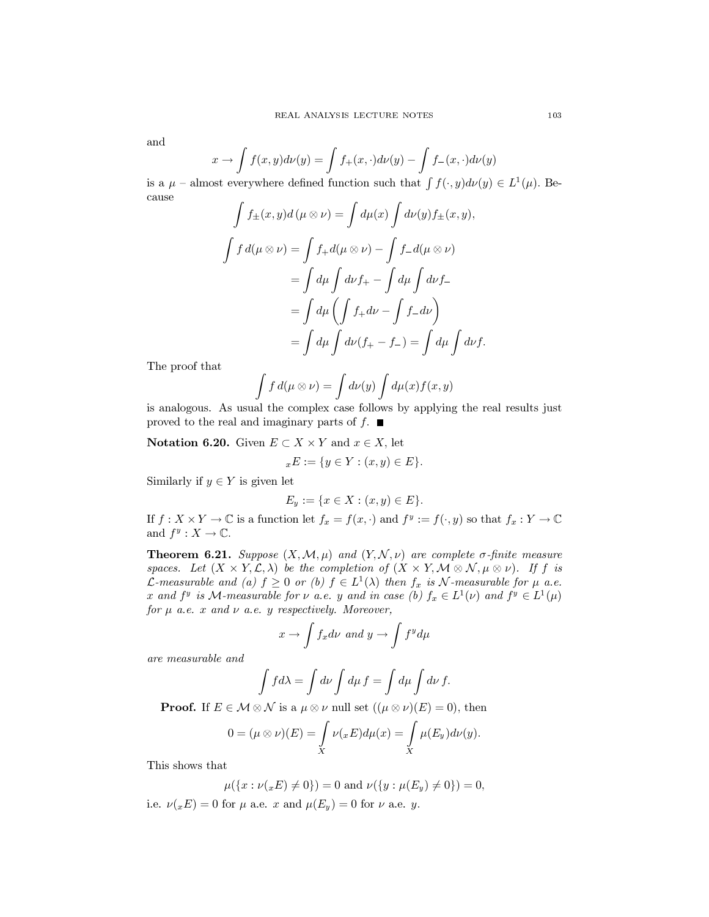and

$$
x \to \int f(x, y) d\nu(y) = \int f_+(x, \cdot) d\nu(y) - \int f_-(x, \cdot) d\nu(y)
$$

is a  $\mu$  – almost everywhere defined function such that  $\int f(\cdot, y) d\nu(y) \in L^1(\mu)$ . Be $cause$  $\epsilon$  $\epsilon$ 

$$
\int f_{\pm}(x, y) d(\mu \otimes \nu) = \int d\mu(x) \int d\nu(y) f_{\pm}(x, y),
$$

$$
\int f d(\mu \otimes \nu) = \int f_{+} d(\mu \otimes \nu) - \int f_{-} d(\mu \otimes \nu)
$$

$$
= \int d\mu \int d\nu f_{+} - \int d\mu \int d\nu f_{-}
$$

$$
= \int d\mu \left( \int f_{+} d\nu - \int f_{-} d\nu \right)
$$

$$
= \int d\mu \int d\nu (f_{+} - f_{-}) = \int d\mu \int d\nu f
$$

The proof that

$$
\int f d(\mu \otimes \nu) = \int d\nu(y) \int d\mu(x) f(x, y)
$$

is analogous. As usual the complex case follows by applying the real results just proved to the real and imaginary parts of  $f$ .

**Notation 6.20.** Given  $E \subset X \times Y$  and  $x \in X$ , let

$$
{}_xE := \{ y \in Y : (x, y) \in E \}.
$$

Similarly if  $y \in Y$  is given let

$$
E_y := \{ x \in X : (x, y) \in E \}.
$$

If  $f: X \times Y \to \mathbb{C}$  is a function let  $f_x = f(x, \cdot)$  and  $f^y := f(\cdot, y)$  so that  $f_x: Y \to \mathbb{C}$ and  $f^y: X \to \mathbb{C}$ .

**Theorem 6.21.** Suppose  $(X, \mathcal{M}, \mu)$  and  $(Y, \mathcal{N}, \nu)$  are complete  $\sigma$ -finite measure spaces. Let  $(X \times Y, \mathcal{L}, \lambda)$  be the completion of  $(X \times Y, \mathcal{M} \otimes \mathcal{N}, \mu \otimes \nu)$ . If f is *L*-measurable and (a)  $f \ge 0$  or (b)  $f \in L^1(\lambda)$  then  $f_x$  is N-measurable for  $\mu$  a.e. x and  $f^y$  is M-measurable for  $\nu$  a.e. y and in case (b)  $f_x \in L^1(\nu)$  and  $f^y \in L^1(\mu)$ for  $\mu$  a.e. x and  $\nu$  a.e. y respectively. Moreover,

$$
x \to \int f_x d\nu \text{ and } y \to \int f^y d\mu
$$

 $\emph{are measurable and}$ 

$$
\int f d\lambda = \int d\nu \int d\mu f = \int d\mu \int d\nu f.
$$

**Proof.** If  $E \in \mathcal{M} \otimes \mathcal{N}$  is a  $\mu \otimes \nu$  null set  $((\mu \otimes \nu)(E) = 0)$ , then

$$
0=(\mu\otimes\nu)(E)=\int\limits_X \nu(_xE)d\mu(x)=\int\limits_X \mu(E_y)d\nu(y).
$$

This shows that

$$
\mu({x : \nu(x E) \neq 0}) = 0 \text{ and } \nu({y : \mu(E_y) \neq 0}) = 0,
$$

i.e.  $\nu(x) = 0$  for  $\mu$  a.e. x and  $\mu(E_y) = 0$  for  $\nu$  a.e. y.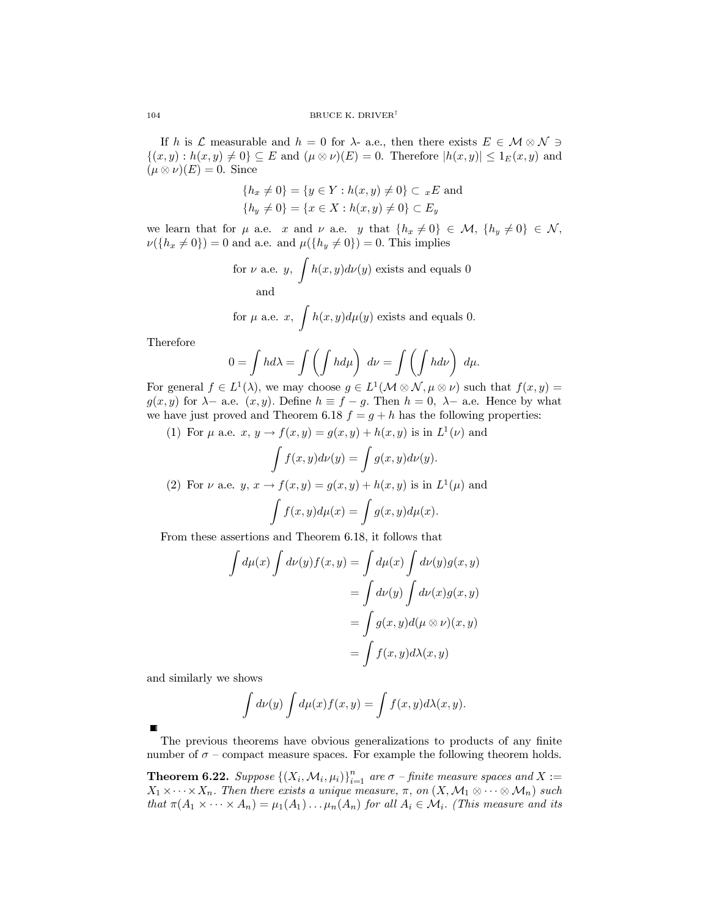If h is L measurable and  $h = 0$  for  $\lambda$ - a.e., then there exists  $E \in \mathcal{M} \otimes \mathcal{N} \ni$  $\{(x,y): h(x,y) \neq 0\} \subseteq E$  and  $(\mu \otimes \nu)(E) = 0$ . Therefore  $|h(x,y)| \leq 1_E(x,y)$  and  $(\mu \otimes \nu)(E) = 0$ . Since

$$
{h_x \neq 0} = {y \in Y : h(x, y) \neq 0} \subset {}_{x}E
$$
 and  

$$
{h_y \neq 0} = {x \in X : h(x, y) \neq 0} \subset E_y
$$

we learn that for  $\mu$  a.e. x and  $\nu$  a.e. y that  $\{h_x \neq 0\} \in \mathcal{M}, \{h_y \neq 0\} \in \mathcal{N}$ ,  $\nu({h_x \neq 0}) = 0$  and a.e. and  $\mu({h_y \neq 0}) = 0$ . This implies

for 
$$
\nu
$$
 a.e.  $y$ ,  $\int h(x, y) d\nu(y)$  exists and equals 0  
and  
for  $\mu$  a.e.  $x$ ,  $\int h(x, y) d\mu(y)$  exists and equals 0.

Therefore

$$
0 = \int hd\lambda = \int \left(\int hd\mu\right) d\nu = \int \left(\int hd\nu\right) d\mu
$$

For general  $f \in L^1(\lambda)$ , we may choose  $g \in L^1(\mathcal{M} \otimes \mathcal{N}, \mu \otimes \nu)$  such that  $f(x, y) =$  $g(x, y)$  for  $\lambda$ - a.e.  $(x, y)$ . Define  $h \equiv f - g$ . Then  $h = 0$ ,  $\lambda$ - a.e. Hence by what we have just proved and Theorem 6.18  $f = g + h$  has the following properties:

(1) For  $\mu$  a.e.  $x, y \rightarrow f(x, y) = g(x, y) + h(x, y)$  is in  $L^1(\nu)$  and

$$
\int f(x, y)d\nu(y) = \int g(x, y)d\nu(y).
$$
\n(2) For  $\nu$  a.e.  $y, x \to f(x, y) = g(x, y) + h(x, y)$  is in  $L^1(\mu)$  and\n
$$
\int f(x, y)d\mu(x) = \int g(x, y)d\mu(x).
$$

From these assertions and Theorem 6.18, it follows that

$$
\int d\mu(x) \int d\nu(y) f(x, y) = \int d\mu(x) \int d\nu(y) g(x, y)
$$

$$
= \int d\nu(y) \int d\nu(x) g(x, y)
$$

$$
= \int g(x, y) d(\mu \otimes \nu)(x, y)
$$

$$
= \int f(x, y) d\lambda(x, y)
$$

and similarly we shows

$$
\int d\nu(y) \int d\mu(x) f(x, y) = \int f(x, y) d\lambda(x, y).
$$

The previous theorems have obvious generalizations to products of any finite number of  $\sigma$  – compact measure spaces. For example the following theorem holds.

**Theorem 6.22.** Suppose  $\{(X_i, \mathcal{M}_i, \mu_i)\}_{i=1}^n$  are  $\sigma$  -finite measure spaces and  $X :=$  $X_1 \times \cdots \times X_n$ . Then there exists a unique measure,  $\pi$ , on  $(X, \mathcal{M}_1 \otimes \cdots \otimes \mathcal{M}_n)$  such that  $\pi(A_1 \times \cdots \times A_n) = \mu_1(A_1) \ldots \mu_n(A_n)$  for all  $A_i \in \mathcal{M}_i$ . (This measure and its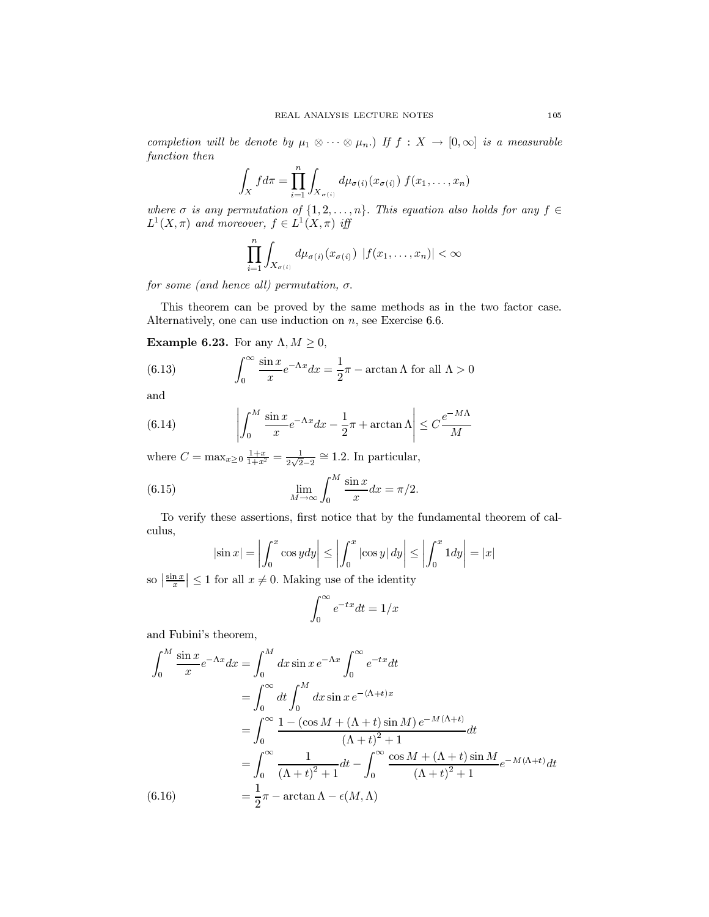completion will be denote by  $\mu_1 \otimes \cdots \otimes \mu_n$ .) If  $f: X \to [0, \infty]$  is a measurable function then

$$
\int_X f d\pi = \prod_{i=1}^n \int_{X_{\sigma(i)}} d\mu_{\sigma(i)}(x_{\sigma(i)}) f(x_1,\ldots,x_n)
$$

where  $\sigma$  is any permutation of  $\{1, 2, ..., n\}$ . This equation also holds for any  $f \in$  $L^1(X, \pi)$  and moreover,  $f \in L^1(X, \pi)$  iff

$$
\prod_{i=1}^n \int_{X_{\sigma(i)}} d\mu_{\sigma(i)}(x_{\sigma(i)}) |f(x_1,\ldots,x_n)| < \infty
$$

for some (and hence all) permutation,  $\sigma$ .

This theorem can be proved by the same methods as in the two factor case. Alternatively, one can use induction on  $n$ , see Exercise 6.6.

**Example 6.23.** For any  $\Lambda, M \geq 0$ ,

(6.13) 
$$
\int_0^\infty \frac{\sin x}{x} e^{-\Lambda x} dx = \frac{1}{2}\pi - \arctan \Lambda \text{ for all } \Lambda > 0
$$

and

(6.14) 
$$
\left| \int_0^M \frac{\sin x}{x} e^{-\Lambda x} dx - \frac{1}{2}\pi + \arctan \Lambda \right| \leq C \frac{e^{-M\Lambda}}{M}
$$

where  $C = \max_{x \ge 0} \frac{1+x}{1+x^2} = \frac{1}{2\sqrt{2}-2} \cong 1.2$ . In particular,

(6.15) 
$$
\lim_{M \to \infty} \int_0^M \frac{\sin x}{x} dx = \pi/2.
$$

To verify these assertions, first notice that by the fundamental theorem of calculus,

$$
|\sin x| = \left| \int_0^x \cos y dy \right| \le \left| \int_0^x |\cos y| dy \right| \le \left| \int_0^x 1 dy \right| = |x|
$$

so  $\left| \frac{\sin x}{x} \right| \leq 1$  for all  $x \neq 0$ . Making use of the identity

$$
\int_0^\infty e^{-tx} dt = 1/x
$$

and Fubini's theorem,

$$
\int_0^M \frac{\sin x}{x} e^{-\Lambda x} dx = \int_0^M dx \sin x e^{-\Lambda x} \int_0^\infty e^{-tx} dt
$$
  
\n
$$
= \int_0^\infty dt \int_0^M dx \sin x e^{-(\Lambda + t)x}
$$
  
\n
$$
= \int_0^\infty \frac{1 - (\cos M + (\Lambda + t) \sin M) e^{-M(\Lambda + t)}}{(\Lambda + t)^2 + 1} dt
$$
  
\n
$$
= \int_0^\infty \frac{1}{(\Lambda + t)^2 + 1} dt - \int_0^\infty \frac{\cos M + (\Lambda + t) \sin M}{(\Lambda + t)^2 + 1} e^{-M(\Lambda + t)} dt
$$
  
\n(6.16) 
$$
= \frac{1}{2} \pi - \arctan \Lambda - \epsilon(M, \Lambda)
$$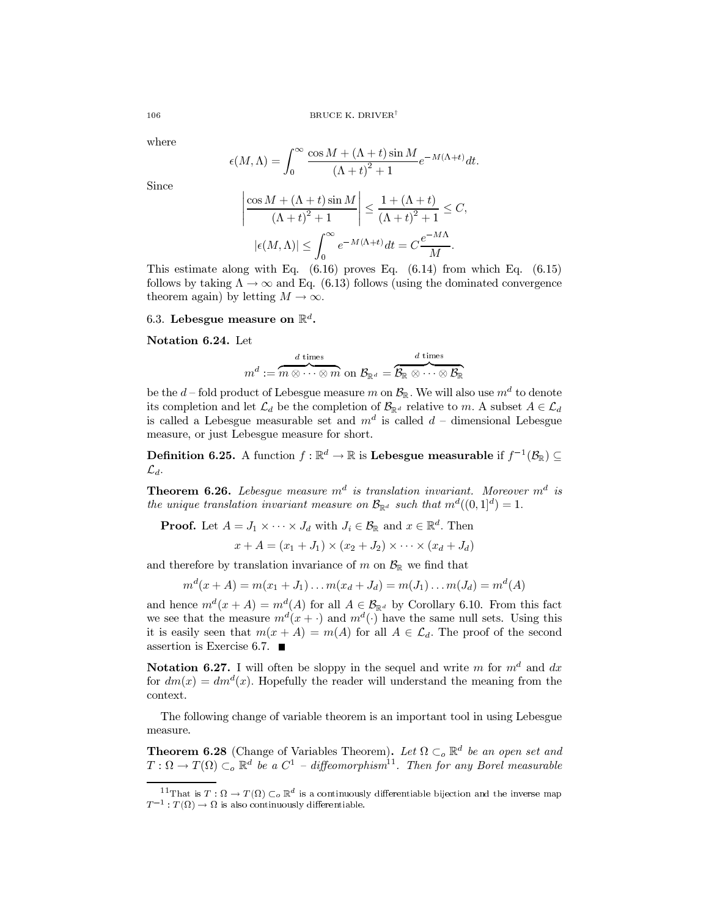where

$$
\epsilon(M,\Lambda) = \int_0^\infty \frac{\cos M + (\Lambda + t) \sin M}{\left(\Lambda + t\right)^2 + 1} e^{-M(\Lambda + t)} dt.
$$

Since

$$
\left| \frac{\cos M + (\Lambda + t) \sin M}{(\Lambda + t)^2 + 1} \right| \le \frac{1 + (\Lambda + t)}{(\Lambda + t)^2 + 1} \le C,
$$
  

$$
|\epsilon(M, \Lambda)| \le \int_0^\infty e^{-M(\Lambda + t)} dt = C \frac{e^{-M\Lambda}}{M}.
$$

This estimate along with Eq.  $(6.16)$  proves Eq.  $(6.14)$  from which Eq.  $(6.15)$ follows by taking  $\Lambda \to \infty$  and Eq. (6.13) follows (using the dominated convergence theorem again) by letting  $M \to \infty$ .

6.3. Lebesgue measure on  $\mathbb{R}^d$ .

Notation 6.24. Let

$$
m^d := \overbrace{m\otimes \cdots \otimes m}^{d \text{ times}} \text{ on } \mathcal{B}_{\mathbb{R}^d} = \overbrace{\mathcal{B}_{\mathbb{R}}\otimes \cdots \otimes \mathcal{B}_{\mathbb{R}}^{d}}^{d \text{ times}}
$$

be the d – fold product of Lebesgue measure m on  $\mathcal{B}_{\mathbb{R}}$ . We will also use  $m^d$  to denote its completion and let  $\mathcal{L}_d$  be the completion of  $\mathcal{B}_{\mathbb{R}^d}$  relative to m. A subset  $A \in \mathcal{L}_d$ is called a Lebesgue measurable set and  $m^d$  is called  $d$  – dimensional Lebesgue measure, or just Lebesgue measure for short.

**Definition 6.25.** A function  $f : \mathbb{R}^d \to \mathbb{R}$  is **Lebesgue measurable** if  $f^{-1}(\mathcal{B}_{\mathbb{R}}) \subseteq$  $\mathcal{L}_d$ .

**Theorem 6.26.** Lebesgue measure  $m^d$  is translation invariant. Moreover  $m^d$  is the unique translation invariant measure on  $\mathcal{B}_{\mathbb{R}^d}$  such that  $m^d((0,1]^d) = 1$ .

**Proof.** Let  $A = J_1 \times \cdots \times J_d$  with  $J_i \in \mathcal{B}_{\mathbb{R}}$  and  $x \in \mathbb{R}^d$ . Then

 $x + A = (x_1 + J_1) \times (x_2 + J_2) \times \cdots \times (x_d + J_d)$ 

and therefore by translation invariance of m on  $\mathcal{B}_{\mathbb{R}}$  we find that

$$
m^{d}(x+A) = m(x_1+J_1) \dots m(x_d+J_d) = m(J_1) \dots m(J_d) = m^{d}(A)
$$

and hence  $m^d(x + A) = m^d(A)$  for all  $A \in \mathcal{B}_{\mathbb{R}^d}$  by Corollary 6.10. From this fact we see that the measure  $m^d(x+)$  and  $m^d(\cdot)$  have the same null sets. Using this it is easily seen that  $m(x + A) = m(A)$  for all  $A \in \mathcal{L}_d$ . The proof of the second assertion is Exercise 6.7.  $\blacksquare$ 

**Notation 6.27.** I will often be sloppy in the sequel and write m for  $m<sup>d</sup>$  and dx for  $dm(x) = dm<sup>d</sup>(x)$ . Hopefully the reader will understand the meaning from the context.

The following change of variable theorem is an important tool in using Lebesgue measure.

**Theorem 6.28** (Change of Variables Theorem). Let  $\Omega \subset_{o} \mathbb{R}^{d}$  be an open set and  $T: \Omega \to T(\Omega) \subset_o \mathbb{R}^d$  be a  $C^1$  - diffeomorphism<sup>11</sup>. Then for any Borel measurable

106

<sup>&</sup>lt;sup>11</sup>That is  $T: \Omega \to T(\Omega) \subset_{o} \mathbb{R}^{d}$  is a continuously differentiable bijection and the inverse map  $T^{-1}: T(\Omega) \to \Omega$  is also continuously differentiable.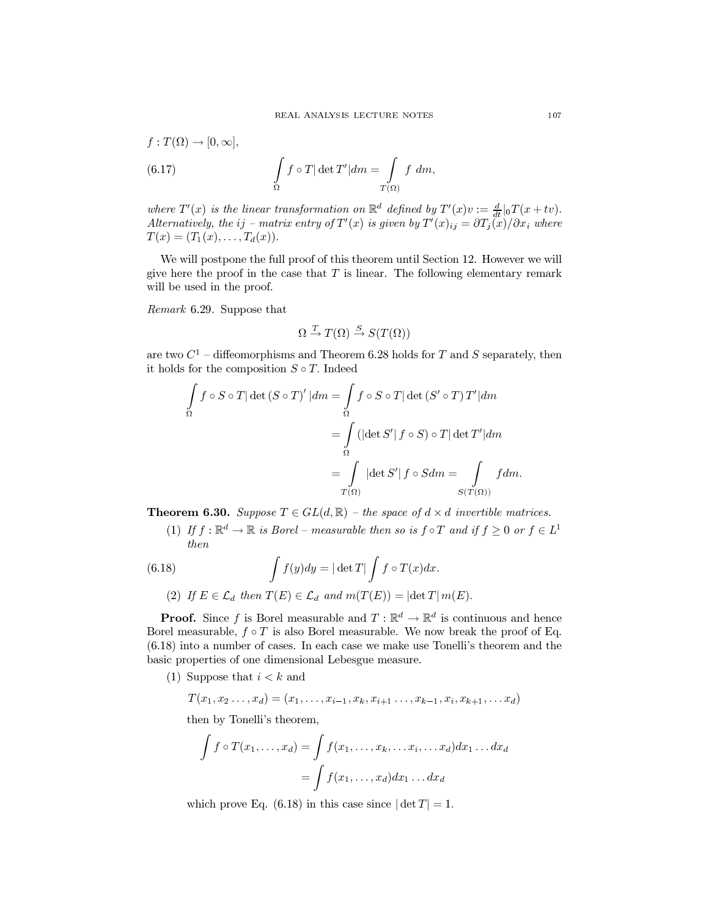$$
f: T(\Omega) \to [0, \infty],
$$
  
(6.17) 
$$
\int_{\Omega} f \circ T |\det T'| dm = \int_{T(\Omega)} f dm,
$$

where  $T'(x)$  is the linear transformation on  $\mathbb{R}^d$  defined by  $T'(x)v := \frac{d}{dt}|_0T(x+tv)$ . Alternatively, the ij – matrix entry of  $T'(x)$  is given by  $T'(x)_{ij} = \frac{\partial T_i(x)}{\partial x_i}$  where  $T(x) = (T_1(x), \ldots, T_d(x)).$ 

We will postpone the full proof of this theorem until Section 12. However we will give here the proof in the case that  $T$  is linear. The following elementary remark will be used in the proof.

Remark 6.29. Suppose that

$$
\Omega \xrightarrow{T} T(\Omega) \xrightarrow{S} S(T(\Omega))
$$

are two  $C^1$  – diffeomorphisms and Theorem 6.28 holds for T and S separately, then it holds for the composition  $S \circ T$ . Indeed

$$
\int_{\Omega} f \circ S \circ T |\det(S \circ T)'| dm = \int_{\Omega} f \circ S \circ T |\det(S' \circ T) T'| dm
$$

$$
= \int_{\Omega} (|\det S'| f \circ S) \circ T |\det T'| dm
$$

$$
= \int_{T(\Omega)} |\det S'| f \circ S dm = \int_{S(T(\Omega))} f dm
$$

**Theorem 6.30.** Suppose  $T \in GL(d, \mathbb{R})$  – the space of  $d \times d$  invertible matrices.

(1) If  $f: \mathbb{R}^d \to \mathbb{R}$  is Borel – measurable then so is  $f \circ T$  and if  $f \geq 0$  or  $f \in L^1$ then

(6.18) 
$$
\int f(y)dy = |\det T| \int f \circ T(x)dx.
$$
  
(2) If  $E \in \mathcal{L}_d$  then  $T(E) \in \mathcal{L}_d$  and  $m(T(E)) = |\det T| m(E).$ 

**Proof.** Since f is Borel measurable and  $T : \mathbb{R}^d \to \mathbb{R}^d$  is continuous and hence Borel measurable,  $f \circ T$  is also Borel measurable. We now break the proof of Eq.  $(6.18)$  into a number of cases. In each case we make use Tonelli's theorem and the basic properties of one dimensional Lebesgue measure.

(1) Suppose that  $i < k$  and

$$
T(x_1, x_2 \ldots, x_d) = (x_1, \ldots, x_{i-1}, x_k, x_{i+1} \ldots, x_{k-1}, x_i, x_{k+1}, \ldots, x_d)
$$

then by Tonelli's theorem,

$$
\int f \circ T(x_1, \dots, x_d) = \int f(x_1, \dots, x_k, \dots, x_i, \dots, x_d) dx_1 \dots dx_d
$$

$$
= \int f(x_1, \dots, x_d) dx_1 \dots dx_d
$$

which prove Eq. (6.18) in this case since  $|\det T| = 1$ .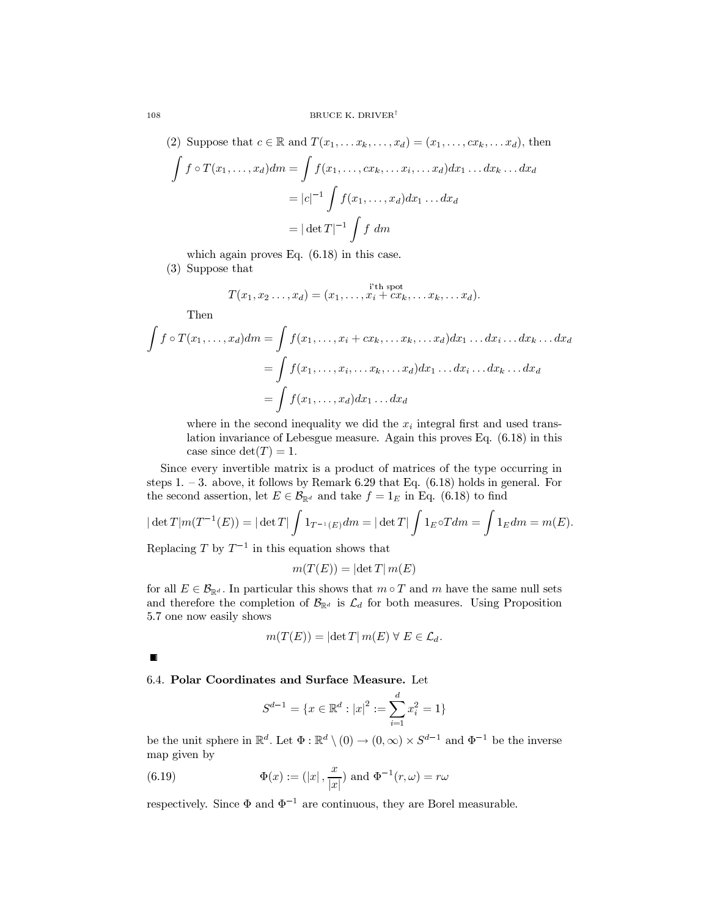(2) Suppose that 
$$
c \in \mathbb{R}
$$
 and  $T(x_1, \ldots, x_k, \ldots, x_d) = (x_1, \ldots, cx_k, \ldots, x_d)$ , then

$$
\int f \circ T(x_1, \dots, x_d) dm = \int f(x_1, \dots, cx_k, \dots x_i, \dots x_d) dx_1 \dots dx_k \dots dx_d
$$

$$
= |c|^{-1} \int f(x_1, \dots, x_d) dx_1 \dots dx_d
$$

$$
= |\det T|^{-1} \int f dm
$$

which again proves Eq.  $(6.18)$  in this case.

 $(3)$  Suppose that

$$
T(x_1, x_2 \ldots, x_d) = (x_1, \ldots, x_i + cx_k, \ldots x_k, \ldots x_d).
$$

Then

 $108\,$ 

$$
\int f \circ T(x_1, \dots, x_d) dm = \int f(x_1, \dots, x_i + cx_k, \dots x_k, \dots x_d) dx_1 \dots dx_i \dots dx_k \dots dx_d
$$

$$
= \int f(x_1, \dots, x_i, \dots x_k, \dots x_d) dx_1 \dots dx_i \dots dx_k \dots dx_d
$$

$$
= \int f(x_1, \dots, x_d) dx_1 \dots dx_d
$$

where in the second inequality we did the  $x_i$  integral first and used translation invariance of Lebesgue measure. Again this proves Eq.  $(6.18)$  in this case since  $\det(T) = 1$ .

Since every invertible matrix is a product of matrices of the type occurring in steps 1. – 3. above, it follows by Remark 6.29 that Eq.  $(6.18)$  holds in general. For the second assertion, let  $E \in \mathcal{B}_{\mathbb{R}^d}$  and take  $f = 1_E$  in Eq. (6.18) to find

$$
|\det T|m(T^{-1}(E)) = |\det T| \int 1_{T^{-1}(E)} dm = |\det T| \int 1_E \circ T dm = \int 1_E dm = m(E).
$$

Replacing T by  $T^{-1}$  in this equation shows that

$$
m(T(E)) = |\det T| m(E)
$$

for all  $E \in \mathcal{B}_{\mathbb{R}^d}$ . In particular this shows that  $m \circ T$  and m have the same null sets and therefore the completion of  $\mathcal{B}_{\mathbb{R}^d}$  is  $\mathcal{L}_d$  for both measures. Using Proposition 5.7 one now easily shows

$$
m(T(E)) = |\det T| m(E) \forall E \in \mathcal{L}_d.
$$

 $\blacksquare$ 

6.4. Polar Coordinates and Surface Measure. Let

$$
S^{d-1} = \{x \in \mathbb{R}^d : |x|^2 := \sum_{i=1}^d x_i^2 = 1\}
$$

be the unit sphere in  $\mathbb{R}^d$ . Let  $\Phi : \mathbb{R}^d \setminus (0) \to (0, \infty) \times S^{d-1}$  and  $\Phi^{-1}$  be the inverse map given by

(6.19) 
$$
\Phi(x) := (|x|, \frac{x}{|x|}) \text{ and } \Phi^{-1}(r, \omega) = r\omega
$$

respectively. Since  $\Phi$  and  $\Phi^{-1}$  are continuous, they are Borel measurable.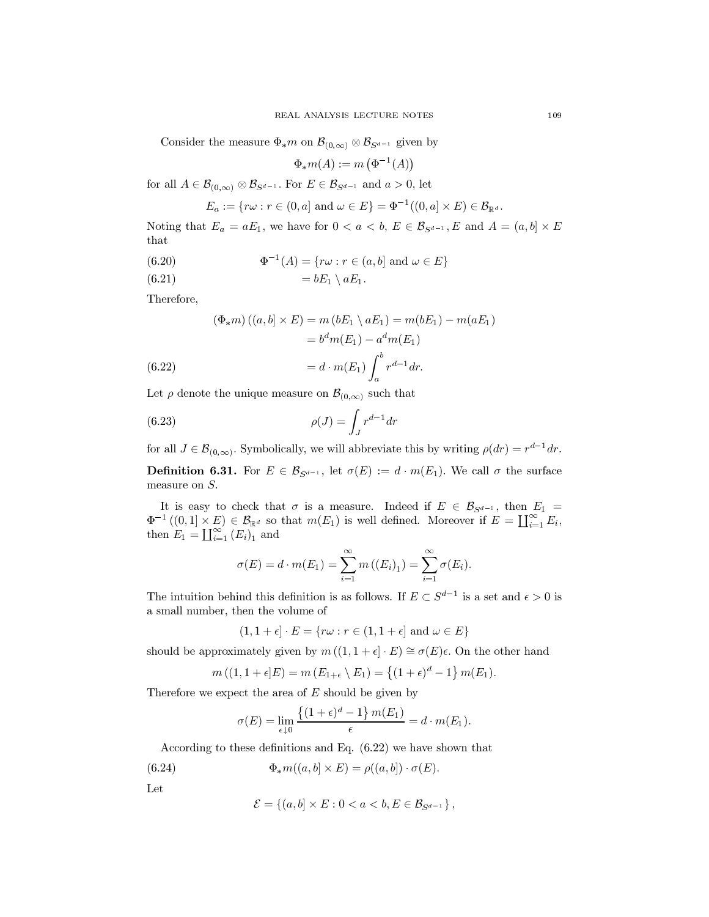Consider the measure  $\Phi_* m$  on  $\mathcal{B}_{(0,\infty)} \otimes \mathcal{B}_{S^{d-1}}$  given by

$$
\Phi_*m(A) := m\left(\Phi^{-1}(A)\right)
$$

for all  $A \in \mathcal{B}_{(0,\infty)} \otimes \mathcal{B}_{S^{d-1}}$ . For  $E \in \mathcal{B}_{S^{d-1}}$  and  $a > 0$ , let

$$
E_a := \{ r\omega : r \in (0, a] \text{ and } \omega \in E \} = \Phi^{-1}((0, a] \times E) \in \mathcal{B}_{\mathbb{R}^d}.
$$

Noting that  $E_a = aE_1$ , we have for  $0 < a < b$ ,  $E \in \mathcal{B}_{S^{d-1}}$ , E and  $A = (a, b] \times E$ that

(6.20) 
$$
\Phi^{-1}(A) = \{r\omega : r \in (a, b] \text{ and } \omega \in E\}
$$

Therefore,

(6.22)  
\n
$$
(\Phi_{*}m)((a,b] \times E) = m(bE_1 \setminus aE_1) = m(bE_1) - m(aE_1)
$$
\n
$$
= b^dm(E_1) - a^dm(E_1)
$$
\n
$$
= d \cdot m(E_1) \int_a^b r^{d-1} dr.
$$

Let  $\rho$  denote the unique measure on  $\mathcal{B}_{(0,\infty)}$  such that

$$
\rho(J) = \int_J r^{d-1} dr
$$

for all  $J \in \mathcal{B}_{(0,\infty)}$ . Symbolically, we will abbreviate this by writing  $\rho(dr) = r^{d-1}dr$ .

**Definition 6.31.** For  $E \in \mathcal{B}_{S^{d-1}}$ , let  $\sigma(E) := d \cdot m(E_1)$ . We call  $\sigma$  the surface measure on  $S$ .

It is easy to check that  $\sigma$  is a measure. Indeed if  $E \in \mathcal{B}_{S^{d-1}}$ , then  $E_1 =$  $\Phi^{-1}((0,1] \times E) \in \mathcal{B}_{\mathbb{R}^d}$  so that  $m(E_1)$  is well defined. Moreover if  $E = \coprod_{i=1}^{\infty} E_i$ , then  $E_1 = \coprod_{i=1}^{\infty} (E_i)_1$  and

$$
\sigma(E) = d \cdot m(E_1) = \sum_{i=1}^{\infty} m((E_i)_1) = \sum_{i=1}^{\infty} \sigma(E_i).
$$

The intuition behind this definition is as follows. If  $E \subset S^{d-1}$  is a set and  $\epsilon > 0$  is a small number, then the volume of

$$
(1, 1 + \epsilon] \cdot E = \{ r\omega : r \in (1, 1 + \epsilon] \text{ and } \omega \in E \}
$$

should be approximately given by  $m((1,1+\epsilon]\cdot E) \cong \sigma(E)\epsilon$ . On the other hand

$$
m((1,1+\epsilon)E) = m(E_{1+\epsilon} \setminus E_1) = \{(1+\epsilon)^d - 1\} m(E_1).
$$

Therefore we expect the area of  $E$  should be given by

$$
\sigma(E) = \lim_{\epsilon \downarrow 0} \frac{\{(1+\epsilon)^d - 1\} m(E_1)}{\epsilon} = d \cdot m(E_1).
$$

According to these definitions and Eq.  $(6.22)$  we have shown that

(6.24) 
$$
\Phi_* m((a,b] \times E) = \rho((a,b]) \cdot \sigma(E).
$$

Let

$$
\mathcal{E} = \{(a, b] \times E : 0 < a < b, E \in \mathcal{B}_{S^{d-1}}\},\
$$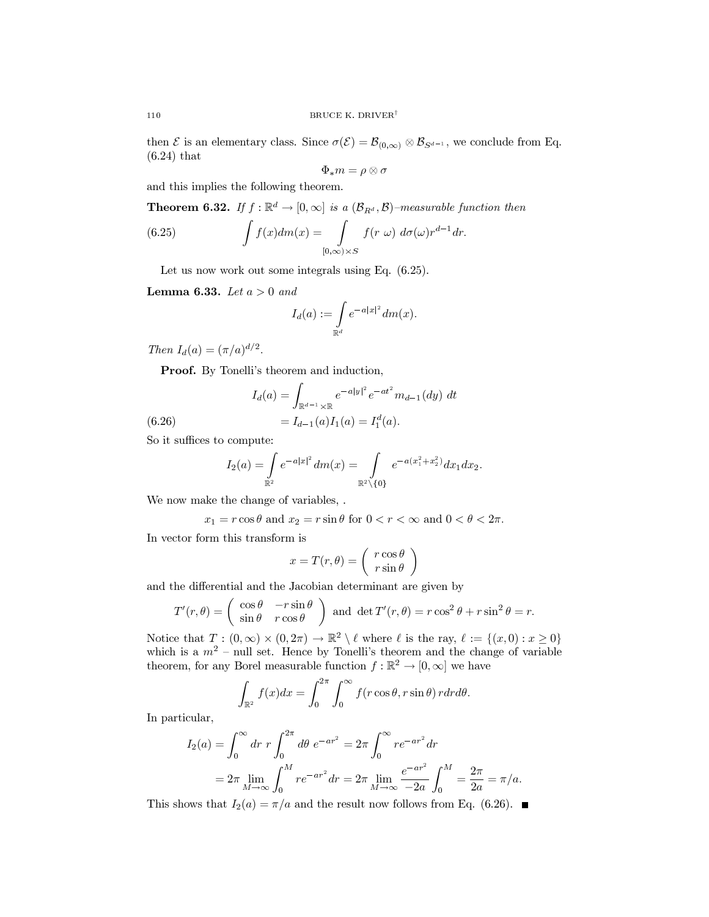then  $\mathcal E$  is an elementary class. Since  $\sigma(\mathcal E) = \mathcal B_{(0,\infty)} \otimes \mathcal B_{S^{d-1}}$ , we conclude from Eq.  $(6.24)$  that

$$
\Phi_*m=\rho\otimes\sigma
$$

and this implies the following theorem.

**Theorem 6.32.** If  $f : \mathbb{R}^d \to [0, \infty]$  is a  $(\mathcal{B}_{R^d}, \mathcal{B})$ -measurable function then

(6.25) 
$$
\int f(x) dm(x) = \int\limits_{[0,\infty)\times S} f(r \omega) d\sigma(\omega) r^{d-1} dr.
$$

Let us now work out some integrals using Eq.  $(6.25)$ .

**Lemma 6.33.** Let  $a > 0$  and

$$
I_d(a):=\int\limits_{\mathbb{R}^d}e^{-a|x|^2}dm(x)
$$

Then  $I_d(a) = (\pi/a)^{d/2}$ .

**Proof.** By Tonelli's theorem and induction,

$$
I_d(a) = \int_{\mathbb{R}^{d-1} \times \mathbb{R}} e^{-a|y|^2} e^{-at^2} m_{d-1}(dy) dt
$$
  
=  $I_{d-1}(a) I_1(a) = I_2^d(a)$ .

 $(6.26)$ 

So it suffices to compute: 
$$
\int_{a}^{b} \frac{f(x)}{x^2} dx = \int_{a}^{b} f(x) dx
$$

$$
I_2(a) = \int\limits_{\mathbb{R}^2} e^{-a|x|^2} dm(x) = \int\limits_{\mathbb{R}^2 \setminus \{0\}} e^{-a(x_1^2 + x_2^2)} dx_1 dx_2.
$$

We now make the change of variables, .

$$
x_1 = r \cos \theta
$$
 and  $x_2 = r \sin \theta$  for  $0 < r < \infty$  and  $0 < \theta < 2\pi$ .

In vector form this transform is

$$
x = T(r, \theta) = \begin{pmatrix} r \cos \theta \\ r \sin \theta \end{pmatrix}
$$

and the differential and the Jacobian determinant are given by

$$
T'(r,\theta) = \begin{pmatrix} \cos\theta & -r\sin\theta \\ \sin\theta & r\cos\theta \end{pmatrix}
$$
 and  $\det T'(r,\theta) = r\cos^2\theta + r\sin^2\theta = r$ .

Notice that  $T:(0,\infty)\times(0,2\pi)\to\mathbb{R}^2\setminus\ell$  where  $\ell$  is the ray,  $\ell:=\{(x,0):x\geq0\}$ which is a  $m^2$  – null set. Hence by Tonelli's theorem and the change of variable theorem, for any Borel measurable function  $f : \mathbb{R}^2 \to [0, \infty]$  we have

$$
\int_{\mathbb{R}^2} f(x)dx = \int_0^{2\pi} \int_0^{\infty} f(r\cos\theta, r\sin\theta) r dr d\theta.
$$

In particular,

$$
I_2(a) = \int_0^\infty dr \ r \int_0^{2\pi} d\theta \ e^{-ar^2} = 2\pi \int_0^\infty re^{-ar^2} dr
$$
  
=  $2\pi \lim_{M \to \infty} \int_0^M re^{-ar^2} dr = 2\pi \lim_{M \to \infty} \frac{e^{-ar^2}}{-2a} \int_0^M = \frac{2\pi}{2a} = \pi/a.$ 

This shows that  $I_2(a) = \pi/a$  and the result now follows from Eq. (6.26).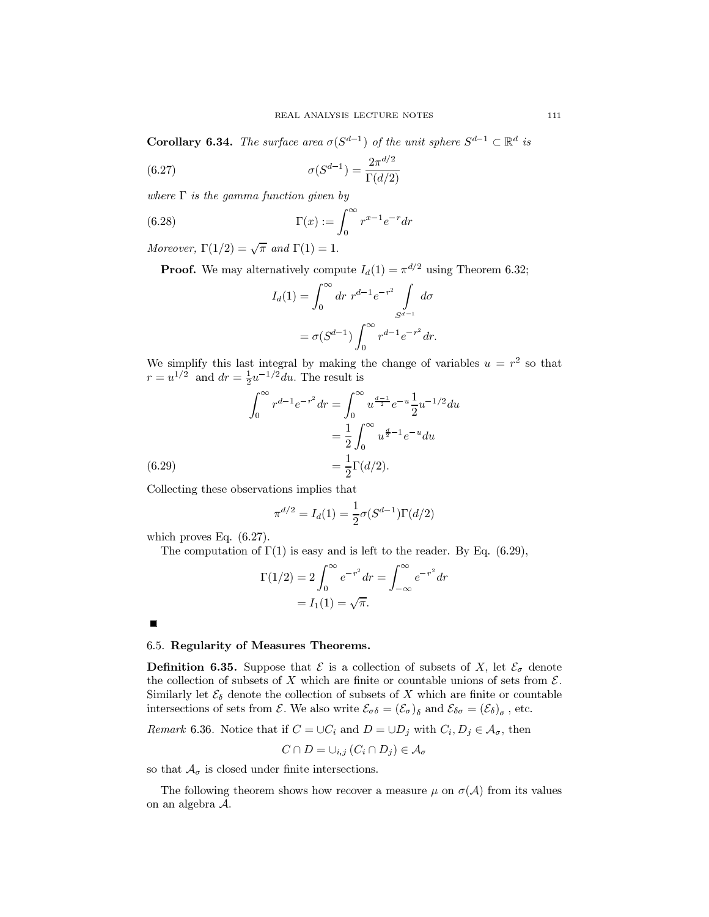**Corollary 6.34.** The surface area  $\sigma(S^{d-1})$  of the unit sphere  $S^{d-1} \subset \mathbb{R}^d$  is

(6.27) 
$$
\sigma(S^{d-1}) = \frac{2\pi^{d/2}}{\Gamma(d/2)}
$$

where  $\Gamma$  is the gamma function given by

(6.28) 
$$
\Gamma(x) := \int_0^\infty r^{x-1} e^{-r} dr
$$

Moreover,  $\Gamma(1/2) = \sqrt{\pi}$  and  $\Gamma(1) = 1$ .

**Proof.** We may alternatively compute  $I_d(1) = \pi^{d/2}$  using Theorem 6.32;

$$
I_d(1) = \int_0^\infty dr \ r^{d-1} e^{-r^2} \int_{S^{d-1}} d\sigma
$$
  
=  $\sigma(S^{d-1}) \int_0^\infty r^{d-1} e^{-r^2} dr.$ 

We simplify this last integral by making the change of variables  $u = r^2$  so that  $r = u^{1/2}$  and  $dr = \frac{1}{2}u^{-1/2}du$ . The result is

(6.29)  

$$
\int_0^\infty r^{d-1} e^{-r^2} dr = \int_0^\infty u^{\frac{d-1}{2}} e^{-u} \frac{1}{2} u^{-1/2} du
$$

$$
= \frac{1}{2} \int_0^\infty u^{\frac{d}{2}-1} e^{-u} du
$$

$$
= \frac{1}{2} \Gamma(d/2).
$$

Collecting these observations implies that

$$
\pi^{d/2} = I_d(1) = \frac{1}{2}\sigma(S^{d-1})\Gamma(d/2)
$$

which proves Eq.  $(6.27)$ .

The computation of  $\Gamma(1)$  is easy and is left to the reader. By Eq. (6.29),

$$
\Gamma(1/2) = 2 \int_0^\infty e^{-r^2} dr = \int_{-\infty}^\infty e^{-r^2} dr
$$

$$
= I_1(1) = \sqrt{\pi}.
$$

 $\blacksquare$ 

## 6.5. Regularity of Measures Theorems.

**Definition 6.35.** Suppose that  $\mathcal{E}$  is a collection of subsets of X, let  $\mathcal{E}_{\sigma}$  denote the collection of subsets of X which are finite or countable unions of sets from  $\mathcal{E}$ . Similarly let  $\mathcal{E}_{\delta}$  denote the collection of subsets of X which are finite or countable intersections of sets from  $\mathcal{E}$ . We also write  $\mathcal{E}_{\sigma\delta} = (\mathcal{E}_{\sigma})_{\delta}$  and  $\mathcal{E}_{\delta\sigma} = (\mathcal{E}_{\delta})_{\sigma}$ , etc.

*Remark* 6.36. Notice that if  $C = \cup C_i$  and  $D = \cup D_j$  with  $C_i, D_j \in \mathcal{A}_{\sigma}$ , then

$$
C \cap D = \cup_{i,j} (C_i \cap D_j) \in \mathcal{A}_{\sigma}
$$

so that  $\mathcal{A}_{\sigma}$  is closed under finite intersections.

The following theorem shows how recover a measure  $\mu$  on  $\sigma(\mathcal{A})$  from its values on an algebra  $A$ .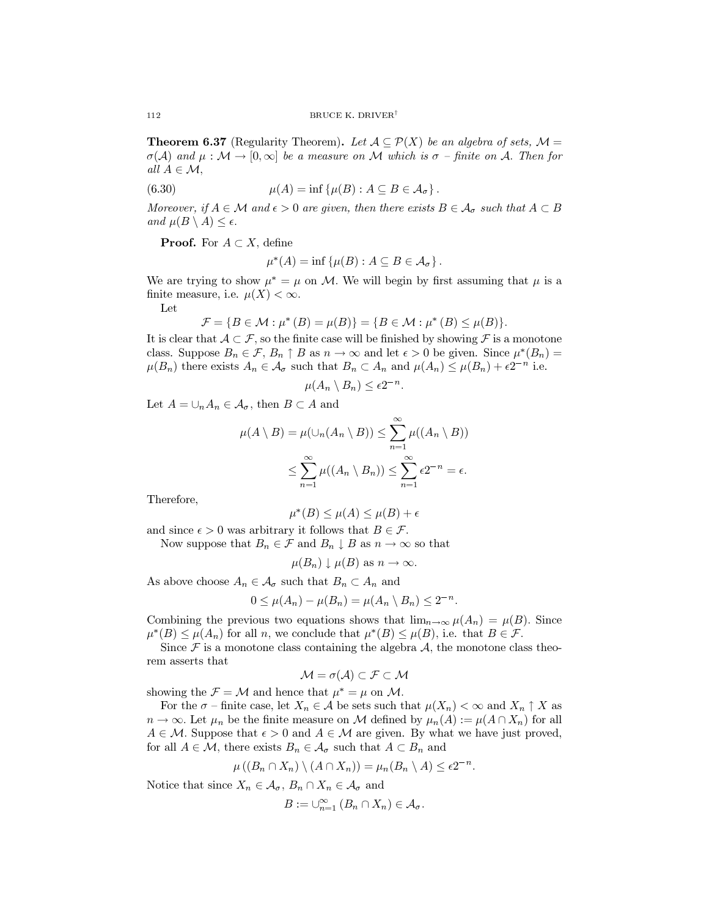**Theorem 6.37** (Regularity Theorem). Let  $A \subseteq \mathcal{P}(X)$  be an algebra of sets,  $\mathcal{M} =$  $\sigma(\mathcal{A})$  and  $\mu : \mathcal{M} \to [0,\infty]$  be a measure on M which is  $\sigma$  – finite on A. Then for all  $A \in \mathcal{M}$ ,

(6.30) 
$$
\mu(A) = \inf \{ \mu(B) : A \subseteq B \in \mathcal{A}_{\sigma} \}
$$

Moreover, if  $A \in \mathcal{M}$  and  $\epsilon > 0$  are given, then there exists  $B \in \mathcal{A}_{\sigma}$  such that  $A \subset B$ and  $\mu(B \setminus A) \leq \epsilon$ .

**Proof.** For  $A \subset X$ , define

$$
u^*(A) = \inf \{ \mu(B) : A \subseteq B \in \mathcal{A}_{\sigma} \}
$$

We are trying to show  $\mu^* = \mu$  on M. We will begin by first assuming that  $\mu$  is a finite measure, i.e.  $\mu(X) < \infty$ .

Let

$$
\mathcal{F} = \{B \in \mathcal{M} : \mu^*(B) = \mu(B)\} = \{B \in \mathcal{M} : \mu^*(B) \le \mu(B)\}\
$$

It is clear that  $A \subset \mathcal{F}$ , so the finite case will be finished by showing  $\mathcal F$  is a monotone class. Suppose  $B_n \in \mathcal{F}, B_n \uparrow B$  as  $n \to \infty$  and let  $\epsilon > 0$  be given. Since  $\mu^*(B_n) =$  $\mu(B_n)$  there exists  $A_n \in \mathcal{A}_{\sigma}$  such that  $B_n \subset A_n$  and  $\mu(A_n) \leq \mu(B_n) + \epsilon 2^{-n}$  i.e.

$$
\mu(A_n \setminus B_n) \le \epsilon 2^{-n}
$$

Let  $A=\cup_n A_n\in \mathcal{A}_\sigma,$  then  $B\subset A$  and

$$
\mu(A \setminus B) = \mu(\cup_n(A_n \setminus B)) \le \sum_{n=1}^{\infty} \mu((A_n \setminus B))
$$
  

$$
\le \sum_{n=1}^{\infty} \mu((A_n \setminus B_n)) \le \sum_{n=1}^{\infty} \epsilon 2^{-n} = \epsilon.
$$

Therefore,

$$
\mu^*(B) \le \mu(A) \le \mu(B) + \epsilon
$$

and since  $\epsilon > 0$  was arbitrary it follows that  $B \in \mathcal{F}$ .

Now suppose that  $B_n \in \mathcal{F}$  and  $B_n \downarrow B$  as  $n \to \infty$  so that

$$
\mu(B_n) \downarrow \mu(B)
$$
 as  $n \to \infty$ .

As above choose  $A_n \in \mathcal{A}_{\sigma}$  such that  $B_n \subset A_n$  and

$$
0 \leq \mu(A_n) - \mu(B_n) = \mu(A_n \setminus B_n) \leq 2^{-n}.
$$

Combining the previous two equations shows that  $\lim_{n\to\infty} \mu(A_n) = \mu(B)$ . Since  $\mu^*(B) \leq \mu(A_n)$  for all n, we conclude that  $\mu^*(B) \leq \mu(B)$ , i.e. that  $B \in \mathcal{F}$ .

Since  $\mathcal F$  is a monotone class containing the algebra  $\mathcal A$ , the monotone class theorem asserts that

$$
\mathcal{M} = \sigma(\mathcal{A}) \subset \mathcal{F} \subset \mathcal{M}
$$

showing the  $\mathcal{F} = \mathcal{M}$  and hence that  $\mu^* = \mu$  on M.

For the  $\sigma$  – finite case, let  $X_n \in \mathcal{A}$  be sets such that  $\mu(X_n) < \infty$  and  $X_n \uparrow X$  as  $n \to \infty$ . Let  $\mu_n$  be the finite measure on M defined by  $\mu_n(A) := \mu(A \cap X_n)$  for all  $A \in \mathcal{M}$ . Suppose that  $\epsilon > 0$  and  $A \in \mathcal{M}$  are given. By what we have just proved, for all  $A \in \mathcal{M}$ , there exists  $B_n \in \mathcal{A}_{\sigma}$  such that  $A \subset B_n$  and

$$
\mu((B_n \cap X_n) \setminus (A \cap X_n)) = \mu_n(B_n \setminus A) \le \epsilon 2^{-n}.
$$

Notice that since  $X_n \in \mathcal{A}_{\sigma}, B_n \cap X_n \in \mathcal{A}_{\sigma}$  and

$$
B := \bigcup_{n=1}^{\infty} (B_n \cap X_n) \in \mathcal{A}_{\sigma}
$$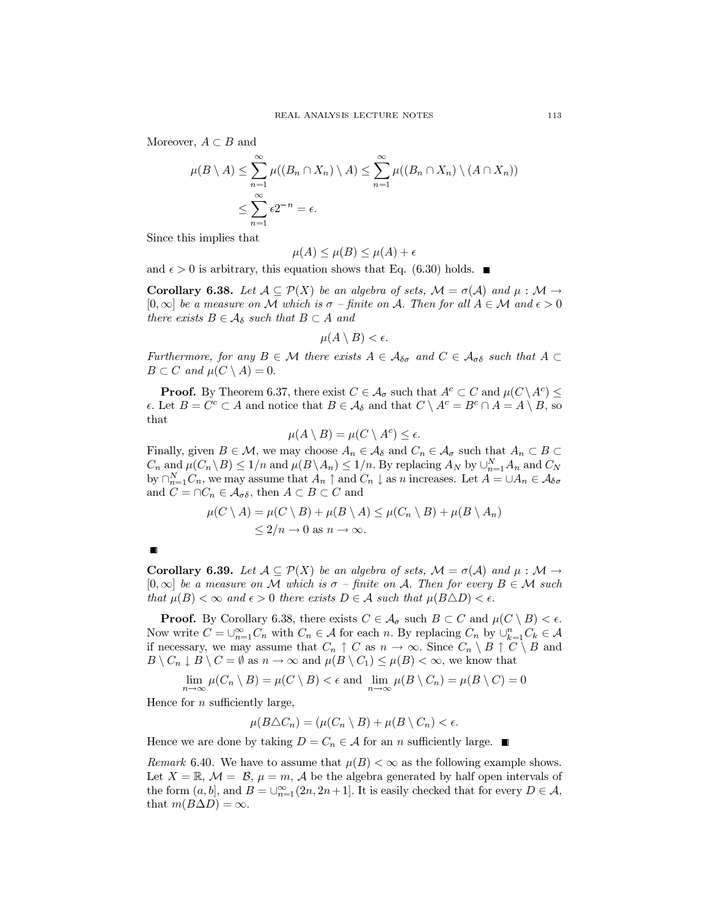Moreover,  $A \subset B$  and

$$
\mu(B \setminus A) \le \sum_{n=1}^{\infty} \mu((B_n \cap X_n) \setminus A) \le \sum_{n=1}^{\infty} \mu((B_n \cap X_n) \setminus (A \cap X_n))
$$
  

$$
\le \sum_{n=1}^{\infty} \epsilon 2^{-n} = \epsilon.
$$

Since this implies that

$$
\mu(A) \le \mu(B) \le \mu(A) + \epsilon
$$

and  $\epsilon > 0$  is arbitrary, this equation shows that Eq. (6.30) holds.  $\blacksquare$ 

**Corollary 6.38.** Let  $A \subseteq \mathcal{P}(X)$  be an algebra of sets,  $\mathcal{M} = \sigma(\mathcal{A})$  and  $\mu : \mathcal{M} \to$  $[0,\infty]$  be a measure on M which is  $\sigma$  -finite on A. Then for all  $A \in \mathcal{M}$  and  $\epsilon > 0$ there exists  $B \in \mathcal{A}_{\delta}$  such that  $B \subset A$  and

$$
\mu(A \setminus B) < \epsilon
$$

Furthermore, for any  $B \in \mathcal{M}$  there exists  $A \in \mathcal{A}_{\delta\sigma}$  and  $C \in \mathcal{A}_{\sigma\delta}$  such that  $A \subset$  $B\subset C$  and  $\mu(C\setminus A)=0$ .

**Proof.** By Theorem 6.37, there exist  $C \in \mathcal{A}_{\sigma}$  such that  $A^{c} \subset C$  and  $\mu(C \setminus A^{c}) \leq$  $\epsilon$ . Let  $B = C^c \subset A$  and notice that  $B \in \mathcal{A}_{\delta}$  and that  $C \setminus A^c = B^c \cap A = A \setminus B$ , so that

$$
\mu(A\setminus B)=\mu(C\setminus A^c)\leq \epsilon.
$$

Finally, given  $B \in \mathcal{M}$ , we may choose  $A_n \in \mathcal{A}_{\delta}$  and  $C_n \in \mathcal{A}_{\sigma}$  such that  $A_n \subset B \subset$  $C_n$  and  $\mu(C_n \backslash B) \leq 1/n$  and  $\mu(B \backslash A_n) \leq 1/n$ . By replacing  $A_N$  by  $\bigcup_{n=1}^N A_n$  and  $C_N$ by  $\bigcap_{n=1}^{N} C_n$ , we may assume that  $A_n \uparrow$  and  $C_n \downarrow$  as n increases. Let  $A = \bigcup A_n \in \mathcal{A}_{\delta \sigma}$ and  $C = \cap C_n \in \mathcal{A}_{\sigma\delta}$ , then  $A \subset B \subset C$  and

$$
\mu(C \setminus A) = \mu(C \setminus B) + \mu(B \setminus A) \le \mu(C_n \setminus B) + \mu(B \setminus A_n)
$$
  
< 2/n \to 0 \text{ as } n \to \infty.

**Corollary 6.39.** Let  $A \subseteq \mathcal{P}(X)$  be an algebra of sets,  $\mathcal{M} = \sigma(\mathcal{A})$  and  $\mu : \mathcal{M} \to$  $[0,\infty]$  be a measure on M which is  $\sigma$  – finite on A. Then for every  $B \in \mathcal{M}$  such that  $\mu(B) < \infty$  and  $\epsilon > 0$  there exists  $D \in \mathcal{A}$  such that  $\mu(B \triangle D) < \epsilon$ .

**Proof.** By Corollary 6.38, there exists  $C \in \mathcal{A}_{\sigma}$  such  $B \subset C$  and  $\mu(C \setminus B) < \epsilon$ . Now write  $C = \bigcup_{n=1}^{\infty} C_n$  with  $C_n \in \mathcal{A}$  for each n. By replacing  $C_n$  by  $\bigcup_{k=1}^{n} C_k \in \mathcal{A}$ if necessary, we may assume that  $C_n \uparrow C$  as  $n \to \infty$ . Since  $C_n \setminus B \uparrow C \setminus B$  and  $B \setminus C_n \downarrow B \setminus C = \emptyset$  as  $n \to \infty$  and  $\mu(B \setminus C_1) \leq \mu(B) < \infty$ , we know that

$$
\lim_{n \to \infty} \mu(C_n \setminus B) = \mu(C \setminus B) < \epsilon \text{ and } \lim_{n \to \infty} \mu(B \setminus C_n) = \mu(B \setminus C) = 0
$$

Hence for  $n$  sufficiently large,

$$
\mu(B \triangle C_n) = (\mu(C_n \setminus B) + \mu(B \setminus C_n) < \epsilon
$$

Hence we are done by taking  $D = C_n \in \mathcal{A}$  for an *n* sufficiently large.

*Remark* 6.40. We have to assume that  $\mu(B) < \infty$  as the following example shows. Let  $X = \mathbb{R}, \mathcal{M} = \mathcal{B}, \mu = m, \mathcal{A}$  be the algebra generated by half open intervals of the form  $(a, b]$ , and  $B = \bigcup_{n=1}^{\infty} (2n, 2n+1]$ . It is easily checked that for every  $D \in \mathcal{A}$ , that  $m(B\Delta D) = \infty$ .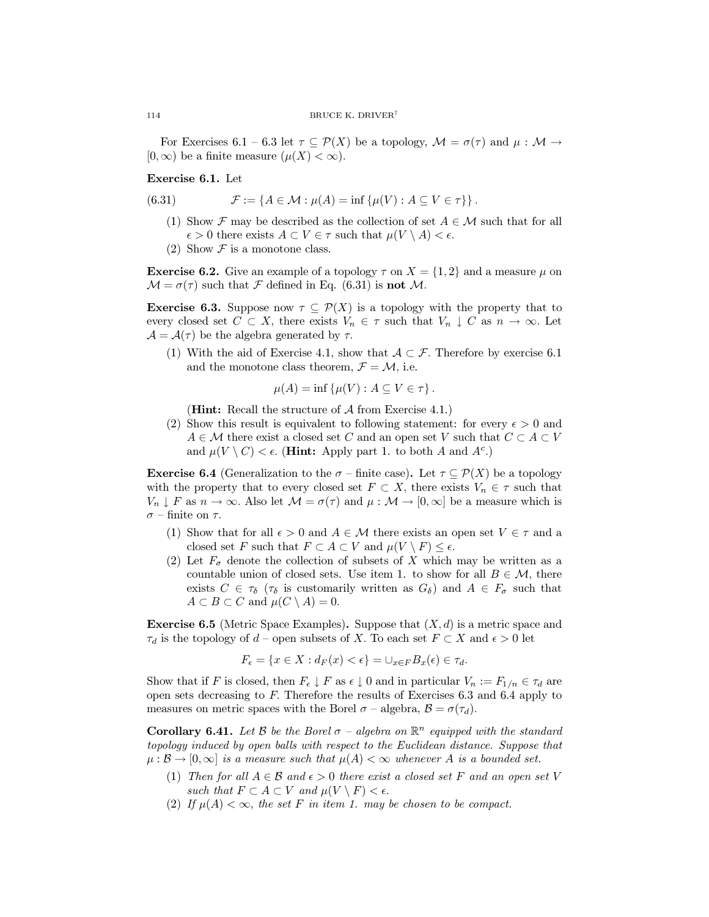For Exercises 6.1 – 6.3 let  $\tau \subseteq \mathcal{P}(X)$  be a topology,  $\mathcal{M} = \sigma(\tau)$  and  $\mu : \mathcal{M} \to$  $[0,\infty)$  be a finite measure  $(\mu(X) < \infty)$ .

Exercise 6.1. Let

(6.31) 
$$
\mathcal{F} := \{ A \in \mathcal{M} : \mu(A) = \inf \{ \mu(V) : A \subseteq V \in \tau \} \}.
$$

- (1) Show  $\mathcal F$  may be described as the collection of set  $A \in \mathcal M$  such that for all  $\epsilon > 0$  there exists  $A \subset V \in \tau$  such that  $\mu(V \setminus A) < \epsilon$ .
- (2) Show  $\mathcal F$  is a monotone class.

**Exercise 6.2.** Give an example of a topology  $\tau$  on  $X = \{1, 2\}$  and a measure  $\mu$  on  $\mathcal{M} = \sigma(\tau)$  such that F defined in Eq. (6.31) is **not** M.

**Exercise 6.3.** Suppose now  $\tau \subseteq \mathcal{P}(X)$  is a topology with the property that to every closed set  $C \subset X$ , there exists  $V_n \in \tau$  such that  $V_n \downarrow C$  as  $n \to \infty$ . Let  $\mathcal{A} = \mathcal{A}(\tau)$  be the algebra generated by  $\tau$ .

(1) With the aid of Exercise 4.1, show that  $A \subset \mathcal{F}$ . Therefore by exercise 6.1 and the monotone class theorem,  $\mathcal{F} = \mathcal{M}$ , i.e.

$$
\mu(A) = \inf \{ \mu(V) : A \subseteq V \in \tau \}.
$$

(**Hint:** Recall the structure of  $A$  from Exercise 4.1.)

(2) Show this result is equivalent to following statement: for every  $\epsilon > 0$  and  $A \in \mathcal{M}$  there exist a closed set C and an open set V such that  $C \subset A \subset V$ and  $\mu(V \setminus C) < \epsilon$ . (**Hint:** Apply part 1. to both A and  $A^c$ .)

**Exercise 6.4** (Generalization to the  $\sigma$  – finite case). Let  $\tau \subseteq \mathcal{P}(X)$  be a topology with the property that to every closed set  $F \subset X$ , there exists  $V_n \in \tau$  such that  $V_n \downarrow F$  as  $n \to \infty$ . Also let  $\mathcal{M} = \sigma(\tau)$  and  $\mu : \mathcal{M} \to [0, \infty]$  be a measure which is  $\sigma$  – finite on  $\tau.$ 

- (1) Show that for all  $\epsilon > 0$  and  $A \in \mathcal{M}$  there exists an open set  $V \in \tau$  and a closed set F such that  $F \subset A \subset V$  and  $\mu(V \setminus F) \leq \epsilon$ .
- (2) Let  $F_{\sigma}$  denote the collection of subsets of X which may be written as a countable union of closed sets. Use item 1. to show for all  $B \in \mathcal{M}$ , there exists  $C \in \tau_{\delta}$  ( $\tau_{\delta}$  is customarily written as  $G_{\delta}$ ) and  $A \in F_{\sigma}$  such that  $A \subset B \subset C$  and  $\mu(C \setminus A) = 0$ .

**Exercise 6.5** (Metric Space Examples). Suppose that  $(X, d)$  is a metric space and  $\tau_d$  is the topology of d – open subsets of X. To each set  $F \subset X$  and  $\epsilon > 0$  let

$$
F_{\epsilon} = \{ x \in X : d_F(x) < \epsilon \} = \cup_{x \in F} B_x(\epsilon) \in \tau_d.
$$

Show that if F is closed, then  $F_{\epsilon} \downarrow F$  as  $\epsilon \downarrow 0$  and in particular  $V_n := F_{1/n} \in \tau_d$  are open sets decreasing to  $F$ . Therefore the results of Exercises 6.3 and 6.4 apply to measures on metric spaces with the Borel  $\sigma$  – algebra,  $\mathcal{B} = \sigma(\tau_d)$ .

**Corollary 6.41.** Let B be the Borel  $\sigma$  – algebra on  $\mathbb{R}^n$  equipped with the standard topology induced by open balls with respect to the Euclidean distance. Suppose that  $\mu : \mathcal{B} \to [0, \infty]$  is a measure such that  $\mu(A) < \infty$  whenever A is a bounded set.

- (1) Then for all  $A \in \mathcal{B}$  and  $\epsilon > 0$  there exist a closed set F and an open set V such that  $F \subset A \subset V$  and  $\mu(V \setminus F) < \epsilon$ .
- (2) If  $\mu(A) < \infty$ , the set F in item 1. may be chosen to be compact.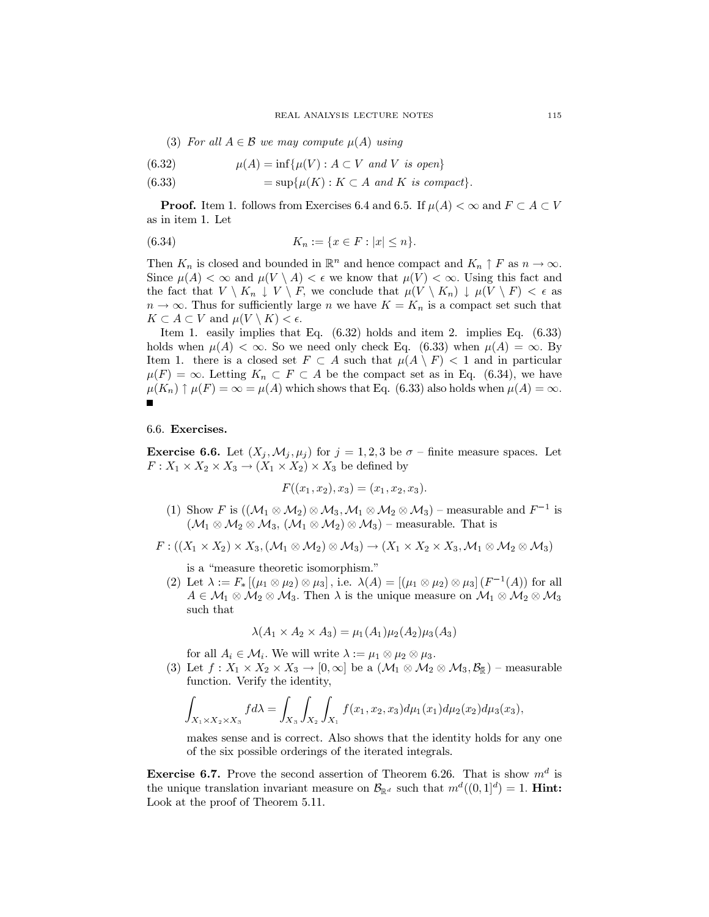(3) For all  $A \in \mathcal{B}$  we may compute  $\mu(A)$  using

(6.32) 
$$
\mu(A) = \inf \{ \mu(V) : A \subset V \text{ and } V \text{ is open} \}
$$

(6.33) 
$$
= \sup \{ \mu(K) : K \subset A \text{ and } K \text{ is compact} \}.
$$

**Proof.** Item 1. follows from Exercises 6.4 and 6.5. If  $\mu(A) < \infty$  and  $F \subset A \subset V$ as in item 1. Let

$$
(6.34) \t K_n := \{ x \in F : |x| \le n \}.
$$

Then  $K_n$  is closed and bounded in  $\mathbb{R}^n$  and hence compact and  $K_n \uparrow F$  as  $n \to \infty$ . Since  $\mu(A) < \infty$  and  $\mu(V \setminus A) < \epsilon$  we know that  $\mu(V) < \infty$ . Using this fact and the fact that  $V \setminus K_n \downarrow V \setminus F$ , we conclude that  $\mu(V \setminus K_n) \downarrow \mu(V \setminus F) < \epsilon$  as  $n \to \infty$ . Thus for sufficiently large n we have  $K = K_n$  is a compact set such that  $K \subset A \subset V$  and  $\mu(V \setminus K) < \epsilon$ .

Item 1. easily implies that Eq.  $(6.32)$  holds and item 2. implies Eq.  $(6.33)$ holds when  $\mu(A) < \infty$ . So we need only check Eq. (6.33) when  $\mu(A) = \infty$ . By Item 1. there is a closed set  $F \subset A$  such that  $\mu(A \setminus F) < 1$  and in particular  $\mu(F) = \infty$ . Letting  $K_n \subset F \subset A$  be the compact set as in Eq. (6.34), we have  $\mu(K_n) \uparrow \mu(F) = \infty = \mu(A)$  which shows that Eq. (6.33) also holds when  $\mu(A) = \infty$ .

6.6. Exercises.

**Exercise 6.6.** Let  $(X_j, \mathcal{M}_j, \mu_j)$  for  $j = 1, 2, 3$  be  $\sigma$  – finite measure spaces. Let  $F: X_1 \times X_2 \times X_3 \to (X_1 \times X_2) \times X_3$  be defined by

$$
F((x_1, x_2), x_3) = (x_1, x_2, x_3).
$$

(1) Show F is  $((\mathcal{M}_1 \otimes \mathcal{M}_2) \otimes \mathcal{M}_3, \mathcal{M}_1 \otimes \mathcal{M}_2 \otimes \mathcal{M}_3)$  – measurable and  $F^{-1}$  is  $(\mathcal{M}_1 \otimes \mathcal{M}_2 \otimes \mathcal{M}_3, (\mathcal{M}_1 \otimes \mathcal{M}_2) \otimes \mathcal{M}_3)$  – measurable. That is

$$
F: ((X_1 \times X_2) \times X_3, (\mathcal{M}_1 \otimes \mathcal{M}_2) \otimes \mathcal{M}_3) \rightarrow (X_1 \times X_2 \times X_3, \mathcal{M}_1 \otimes \mathcal{M}_2 \otimes \mathcal{M}_3)
$$

is a "measure theoretic isomorphism."

(2) Let  $\lambda := F_*[(\mu_1 \otimes \mu_2) \otimes \mu_3]$ , i.e.  $\lambda(A) = [(\mu_1 \otimes \mu_2) \otimes \mu_3] (F^{-1}(A))$  for all  $A \in \mathcal{M}_1 \otimes \mathcal{M}_2 \otimes \mathcal{M}_3$ . Then  $\lambda$  is the unique measure on  $\mathcal{M}_1 \otimes \mathcal{M}_2 \otimes \mathcal{M}_3$ such that

$$
\lambda(A_1 \times A_2 \times A_3) = \mu_1(A_1)\mu_2(A_2)\mu_3(A_3)
$$

for all  $A_i \in \mathcal{M}_i$ . We will write  $\lambda := \mu_1 \otimes \mu_2 \otimes \mu_3$ .

(3) Let  $f: X_1 \times X_2 \times X_3 \to [0, \infty]$  be a  $(\mathcal{M}_1 \otimes \mathcal{M}_2 \otimes \mathcal{M}_3, \mathcal{B}_{\overline{\mathbb{R}}})$  – measurable function. Verify the identity,

$$
\int_{X_1 \times X_2 \times X_3} f d\lambda = \int_{X_3} \int_{X_2} \int_{X_1} f(x_1, x_2, x_3) d\mu_1(x_1) d\mu_2(x_2) d\mu_3(x_3)
$$

makes sense and is correct. Also shows that the identity holds for any one of the six possible orderings of the iterated integrals.

**Exercise 6.7.** Prove the second assertion of Theorem 6.26. That is show  $m^d$  is the unique translation invariant measure on  $\mathcal{B}_{\mathbb{R}^d}$  such that  $m^d((0,1]^d) = 1$ . **Hint:** Look at the proof of Theorem 5.11.